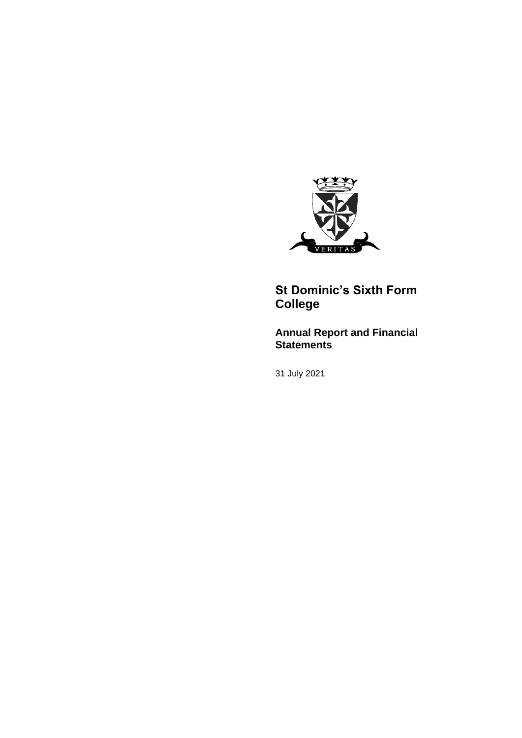

# **St Dominic's Sixth Form College**

# **Annual Report and Financial Statements**

31 July 2021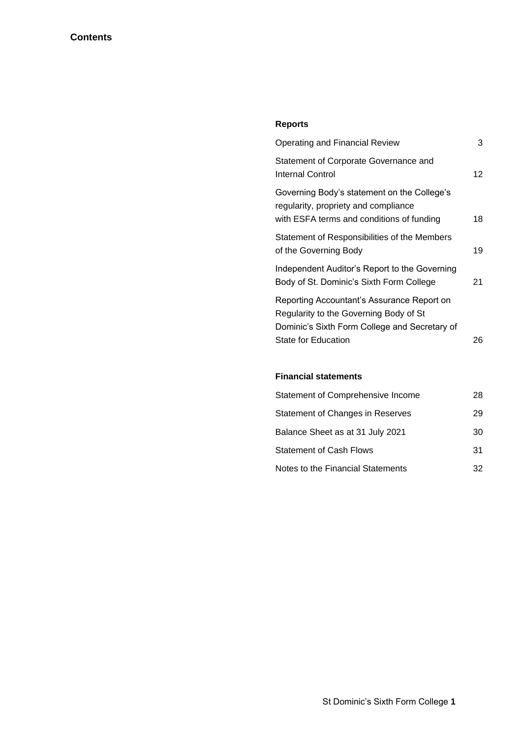# **Reports**

| <b>Operating and Financial Review</b>                                                                                                 | 3  |
|---------------------------------------------------------------------------------------------------------------------------------------|----|
| Statement of Corporate Governance and<br><b>Internal Control</b>                                                                      | 12 |
| Governing Body's statement on the College's<br>regularity, propriety and compliance<br>with ESFA terms and conditions of funding      | 18 |
| Statement of Responsibilities of the Members<br>of the Governing Body                                                                 | 19 |
| Independent Auditor's Report to the Governing<br>Body of St. Dominic's Sixth Form College                                             | 21 |
| Reporting Accountant's Assurance Report on<br>Regularity to the Governing Body of St<br>Dominic's Sixth Form College and Secretary of |    |
| <b>State for Education</b>                                                                                                            | 26 |

### **Financial statements**

| Statement of Comprehensive Income | 28 |
|-----------------------------------|----|
| Statement of Changes in Reserves  | 29 |
| Balance Sheet as at 31 July 2021  | 30 |
| <b>Statement of Cash Flows</b>    | 31 |
| Notes to the Financial Statements | 32 |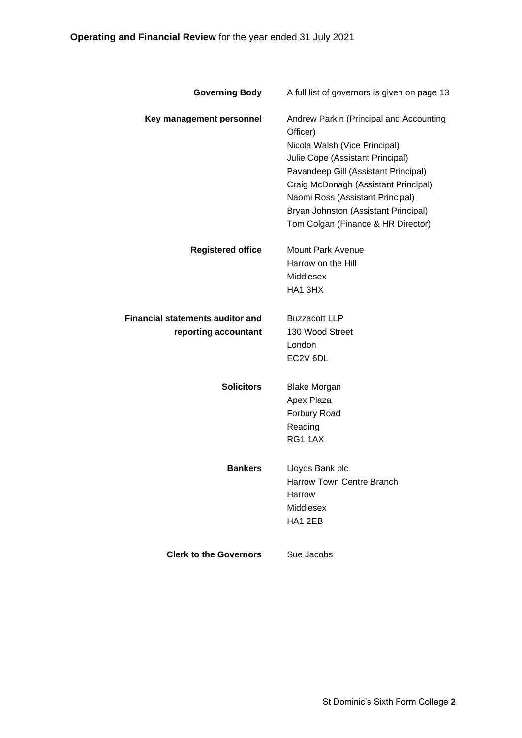| <b>Governing Body</b>                   | A full list of governors is given on page 13        |
|-----------------------------------------|-----------------------------------------------------|
| Key management personnel                | Andrew Parkin (Principal and Accounting<br>Officer) |
|                                         | Nicola Walsh (Vice Principal)                       |
|                                         | Julie Cope (Assistant Principal)                    |
|                                         | Pavandeep Gill (Assistant Principal)                |
|                                         | Craig McDonagh (Assistant Principal)                |
|                                         | Naomi Ross (Assistant Principal)                    |
|                                         | Bryan Johnston (Assistant Principal)                |
|                                         | Tom Colgan (Finance & HR Director)                  |
| <b>Registered office</b>                | <b>Mount Park Avenue</b>                            |
|                                         | Harrow on the Hill                                  |
|                                         | <b>Middlesex</b>                                    |
|                                         | HA1 3HX                                             |
| <b>Financial statements auditor and</b> | <b>Buzzacott LLP</b>                                |
| reporting accountant                    | 130 Wood Street                                     |
|                                         | London                                              |
|                                         | EC2V 6DL                                            |
| <b>Solicitors</b>                       | <b>Blake Morgan</b>                                 |
|                                         | Apex Plaza                                          |
|                                         | Forbury Road                                        |
|                                         | Reading                                             |
|                                         | <b>RG1 1AX</b>                                      |
| <b>Bankers</b>                          | Lloyds Bank plc                                     |
|                                         | <b>Harrow Town Centre Branch</b>                    |
|                                         | Harrow                                              |
|                                         | Middlesex                                           |
|                                         | HA1 2EB                                             |
| <b>Clerk to the Governors</b>           | Sue Jacobs                                          |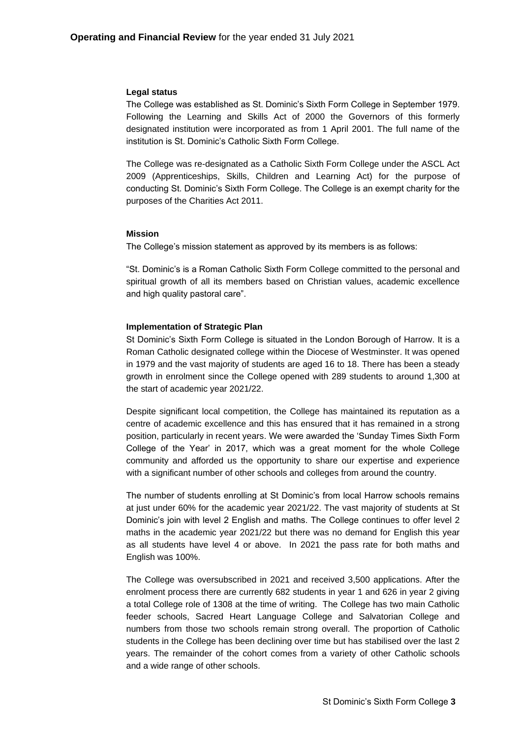#### **Legal status**

The College was established as St. Dominic's Sixth Form College in September 1979. Following the Learning and Skills Act of 2000 the Governors of this formerly designated institution were incorporated as from 1 April 2001. The full name of the institution is St. Dominic's Catholic Sixth Form College.

The College was re-designated as a Catholic Sixth Form College under the ASCL Act 2009 (Apprenticeships, Skills, Children and Learning Act) for the purpose of conducting St. Dominic's Sixth Form College. The College is an exempt charity for the purposes of the Charities Act 2011.

#### **Mission**

The College's mission statement as approved by its members is as follows:

"St. Dominic's is a Roman Catholic Sixth Form College committed to the personal and spiritual growth of all its members based on Christian values, academic excellence and high quality pastoral care".

### **Implementation of Strategic Plan**

St Dominic's Sixth Form College is situated in the London Borough of Harrow. It is a Roman Catholic designated college within the Diocese of Westminster. It was opened in 1979 and the vast majority of students are aged 16 to 18. There has been a steady growth in enrolment since the College opened with 289 students to around 1,300 at the start of academic year 2021/22.

Despite significant local competition, the College has maintained its reputation as a centre of academic excellence and this has ensured that it has remained in a strong position, particularly in recent years. We were awarded the 'Sunday Times Sixth Form College of the Year' in 2017, which was a great moment for the whole College community and afforded us the opportunity to share our expertise and experience with a significant number of other schools and colleges from around the country.

The number of students enrolling at St Dominic's from local Harrow schools remains at just under 60% for the academic year 2021/22. The vast majority of students at St Dominic's join with level 2 English and maths. The College continues to offer level 2 maths in the academic year 2021/22 but there was no demand for English this year as all students have level 4 or above. In 2021 the pass rate for both maths and English was 100%.

The College was oversubscribed in 2021 and received 3,500 applications. After the enrolment process there are currently 682 students in year 1 and 626 in year 2 giving a total College role of 1308 at the time of writing. The College has two main Catholic feeder schools, Sacred Heart Language College and Salvatorian College and numbers from those two schools remain strong overall. The proportion of Catholic students in the College has been declining over time but has stabilised over the last 2 years. The remainder of the cohort comes from a variety of other Catholic schools and a wide range of other schools.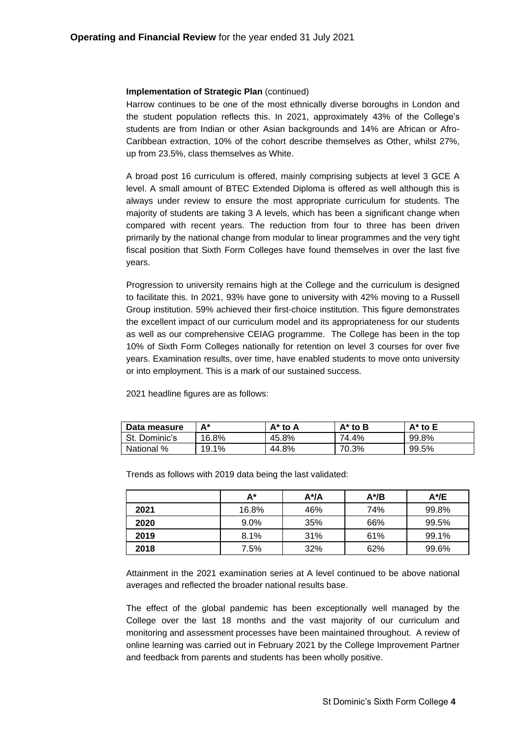### **Implementation of Strategic Plan** (continued)

Harrow continues to be one of the most ethnically diverse boroughs in London and the student population reflects this. In 2021, approximately 43% of the College's students are from Indian or other Asian backgrounds and 14% are African or Afro-Caribbean extraction, 10% of the cohort describe themselves as Other, whilst 27%, up from 23.5%, class themselves as White.

A broad post 16 curriculum is offered, mainly comprising subjects at level 3 GCE A level. A small amount of BTEC Extended Diploma is offered as well although this is always under review to ensure the most appropriate curriculum for students. The majority of students are taking 3 A levels, which has been a significant change when compared with recent years. The reduction from four to three has been driven primarily by the national change from modular to linear programmes and the very tight fiscal position that Sixth Form Colleges have found themselves in over the last five years.

Progression to university remains high at the College and the curriculum is designed to facilitate this. In 2021, 93% have gone to university with 42% moving to a Russell Group institution. 59% achieved their first-choice institution. This figure demonstrates the excellent impact of our curriculum model and its appropriateness for our students as well as our comprehensive CEIAG programme. The College has been in the top 10% of Sixth Form Colleges nationally for retention on level 3 courses for over five years. Examination results, over time, have enabled students to move onto university or into employment. This is a mark of our sustained success.

2021 headline figures are as follows:

| Data measure  | A*    | A* to A | $A^*$ to B | $A^*$ to $E$ |
|---------------|-------|---------|------------|--------------|
| St. Dominic's | 16.8% | 45.8%   | 74.4%      | 99.8%        |
| National %    | 19.1% | 44.8%   | 70.3%      | 99.5%        |

|      | A*      | $A^{\star}/A$ | A*/B | A*/E  |
|------|---------|---------------|------|-------|
| 2021 | 16.8%   | 46%           | 74%  | 99.8% |
| 2020 | $9.0\%$ | 35%           | 66%  | 99.5% |
| 2019 | 8.1%    | 31%           | 61%  | 99.1% |
| 2018 | 7.5%    | 32%           | 62%  | 99.6% |

Trends as follows with 2019 data being the last validated:

Attainment in the 2021 examination series at A level continued to be above national averages and reflected the broader national results base.

The effect of the global pandemic has been exceptionally well managed by the College over the last 18 months and the vast majority of our curriculum and monitoring and assessment processes have been maintained throughout. A review of online learning was carried out in February 2021 by the College Improvement Partner and feedback from parents and students has been wholly positive.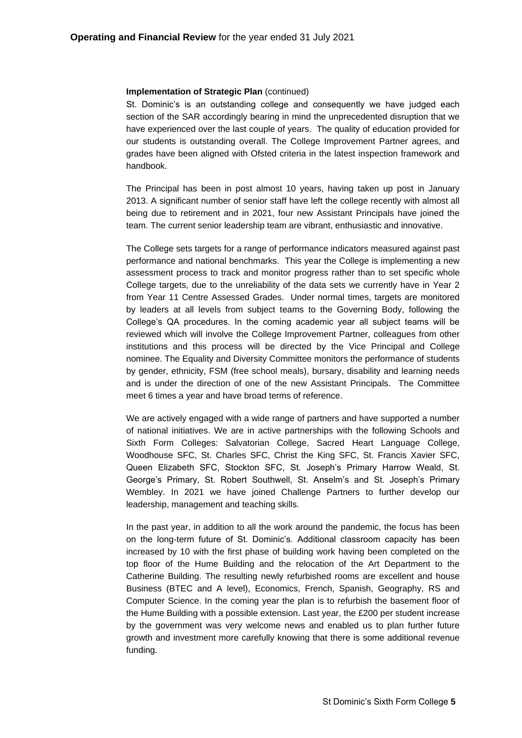### **Implementation of Strategic Plan** (continued)

St. Dominic's is an outstanding college and consequently we have judged each section of the SAR accordingly bearing in mind the unprecedented disruption that we have experienced over the last couple of years. The quality of education provided for our students is outstanding overall. The College Improvement Partner agrees, and grades have been aligned with Ofsted criteria in the latest inspection framework and handbook.

The Principal has been in post almost 10 years, having taken up post in January 2013. A significant number of senior staff have left the college recently with almost all being due to retirement and in 2021, four new Assistant Principals have joined the team. The current senior leadership team are vibrant, enthusiastic and innovative.

The College sets targets for a range of performance indicators measured against past performance and national benchmarks. This year the College is implementing a new assessment process to track and monitor progress rather than to set specific whole College targets, due to the unreliability of the data sets we currently have in Year 2 from Year 11 Centre Assessed Grades. Under normal times, targets are monitored by leaders at all levels from subject teams to the Governing Body, following the College's QA procedures. In the coming academic year all subject teams will be reviewed which will involve the College Improvement Partner, colleagues from other institutions and this process will be directed by the Vice Principal and College nominee. The Equality and Diversity Committee monitors the performance of students by gender, ethnicity, FSM (free school meals), bursary, disability and learning needs and is under the direction of one of the new Assistant Principals. The Committee meet 6 times a year and have broad terms of reference.

We are actively engaged with a wide range of partners and have supported a number of national initiatives. We are in active partnerships with the following Schools and Sixth Form Colleges: Salvatorian College, Sacred Heart Language College, Woodhouse SFC, St. Charles SFC, Christ the King SFC, St. Francis Xavier SFC, Queen Elizabeth SFC, Stockton SFC, St. Joseph's Primary Harrow Weald, St. George's Primary, St. Robert Southwell, St. Anselm's and St. Joseph's Primary Wembley. In 2021 we have joined Challenge Partners to further develop our leadership, management and teaching skills.

In the past year, in addition to all the work around the pandemic, the focus has been on the long-term future of St. Dominic's. Additional classroom capacity has been increased by 10 with the first phase of building work having been completed on the top floor of the Hume Building and the relocation of the Art Department to the Catherine Building. The resulting newly refurbished rooms are excellent and house Business (BTEC and A level), Economics, French, Spanish, Geography, RS and Computer Science. In the coming year the plan is to refurbish the basement floor of the Hume Building with a possible extension. Last year, the £200 per student increase by the government was very welcome news and enabled us to plan further future growth and investment more carefully knowing that there is some additional revenue funding.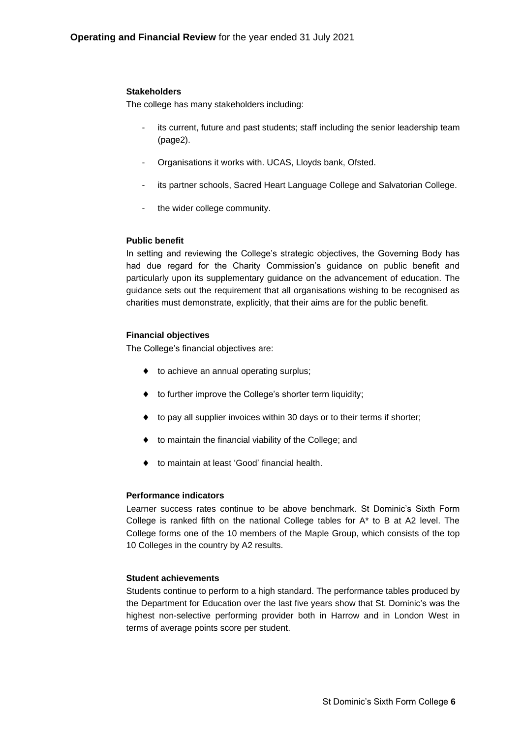### **Stakeholders**

The college has many stakeholders including:

- its current, future and past students; staff including the senior leadership team (page2).
- Organisations it works with. UCAS, Lloyds bank, Ofsted.
- its partner schools, Sacred Heart Language College and Salvatorian College.
- the wider college community.

### **Public benefit**

In setting and reviewing the College's strategic objectives, the Governing Body has had due regard for the Charity Commission's guidance on public benefit and particularly upon its supplementary guidance on the advancement of education. The guidance sets out the requirement that all organisations wishing to be recognised as charities must demonstrate, explicitly, that their aims are for the public benefit.

### **Financial objectives**

The College's financial objectives are:

- $\bullet$  to achieve an annual operating surplus;
- ◆ to further improve the College's shorter term liquidity;
- ◆ to pay all supplier invoices within 30 days or to their terms if shorter;
- to maintain the financial viability of the College; and
- to maintain at least 'Good' financial health.

### **Performance indicators**

Learner success rates continue to be above benchmark. St Dominic's Sixth Form College is ranked fifth on the national College tables for A\* to B at A2 level. The College forms one of the 10 members of the Maple Group, which consists of the top 10 Colleges in the country by A2 results.

### **Student achievements**

Students continue to perform to a high standard. The performance tables produced by the Department for Education over the last five years show that St. Dominic's was the highest non-selective performing provider both in Harrow and in London West in terms of average points score per student.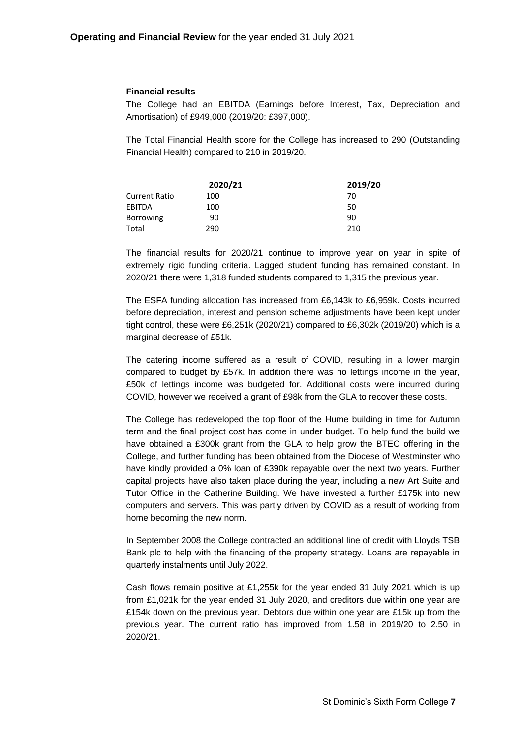### **Financial results**

The College had an EBITDA (Earnings before Interest, Tax, Depreciation and Amortisation) of £949,000 (2019/20: £397,000).

The Total Financial Health score for the College has increased to 290 (Outstanding Financial Health) compared to 210 in 2019/20.

|                      | 2020/21 | 2019/20 |
|----------------------|---------|---------|
| <b>Current Ratio</b> | 100     | 70      |
| EBITDA               | 100     | 50      |
| <b>Borrowing</b>     | 90      | 90      |
| Total                | 290     | 210     |

The financial results for 2020/21 continue to improve year on year in spite of extremely rigid funding criteria. Lagged student funding has remained constant. In 2020/21 there were 1,318 funded students compared to 1,315 the previous year.

The ESFA funding allocation has increased from £6,143k to £6,959k. Costs incurred before depreciation, interest and pension scheme adjustments have been kept under tight control, these were £6,251k (2020/21) compared to £6,302k (2019/20) which is a marginal decrease of £51k.

The catering income suffered as a result of COVID, resulting in a lower margin compared to budget by £57k. In addition there was no lettings income in the year, £50k of lettings income was budgeted for. Additional costs were incurred during COVID, however we received a grant of £98k from the GLA to recover these costs.

The College has redeveloped the top floor of the Hume building in time for Autumn term and the final project cost has come in under budget. To help fund the build we have obtained a £300k grant from the GLA to help grow the BTEC offering in the College, and further funding has been obtained from the Diocese of Westminster who have kindly provided a 0% loan of £390k repayable over the next two years. Further capital projects have also taken place during the year, including a new Art Suite and Tutor Office in the Catherine Building. We have invested a further £175k into new computers and servers. This was partly driven by COVID as a result of working from home becoming the new norm.

In September 2008 the College contracted an additional line of credit with Lloyds TSB Bank plc to help with the financing of the property strategy. Loans are repayable in quarterly instalments until July 2022.

Cash flows remain positive at £1,255k for the year ended 31 July 2021 which is up from £1,021k for the year ended 31 July 2020, and creditors due within one year are £154k down on the previous year. Debtors due within one year are £15k up from the previous year. The current ratio has improved from 1.58 in 2019/20 to 2.50 in 2020/21.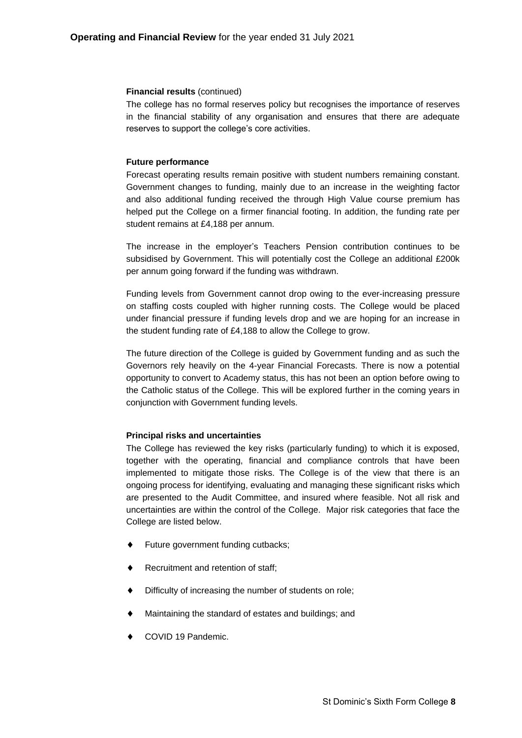#### **Financial results** (continued)

The college has no formal reserves policy but recognises the importance of reserves in the financial stability of any organisation and ensures that there are adequate reserves to support the college's core activities.

### **Future performance**

Forecast operating results remain positive with student numbers remaining constant. Government changes to funding, mainly due to an increase in the weighting factor and also additional funding received the through High Value course premium has helped put the College on a firmer financial footing. In addition, the funding rate per student remains at £4,188 per annum.

The increase in the employer's Teachers Pension contribution continues to be subsidised by Government. This will potentially cost the College an additional £200k per annum going forward if the funding was withdrawn.

Funding levels from Government cannot drop owing to the ever-increasing pressure on staffing costs coupled with higher running costs. The College would be placed under financial pressure if funding levels drop and we are hoping for an increase in the student funding rate of £4,188 to allow the College to grow.

The future direction of the College is guided by Government funding and as such the Governors rely heavily on the 4-year Financial Forecasts. There is now a potential opportunity to convert to Academy status, this has not been an option before owing to the Catholic status of the College. This will be explored further in the coming years in conjunction with Government funding levels.

#### **Principal risks and uncertainties**

The College has reviewed the key risks (particularly funding) to which it is exposed, together with the operating, financial and compliance controls that have been implemented to mitigate those risks. The College is of the view that there is an ongoing process for identifying, evaluating and managing these significant risks which are presented to the Audit Committee, and insured where feasible. Not all risk and uncertainties are within the control of the College. Major risk categories that face the College are listed below.

- Future government funding cutbacks;
- Recruitment and retention of staff;
- Difficulty of increasing the number of students on role;
- Maintaining the standard of estates and buildings; and
- COVID 19 Pandemic.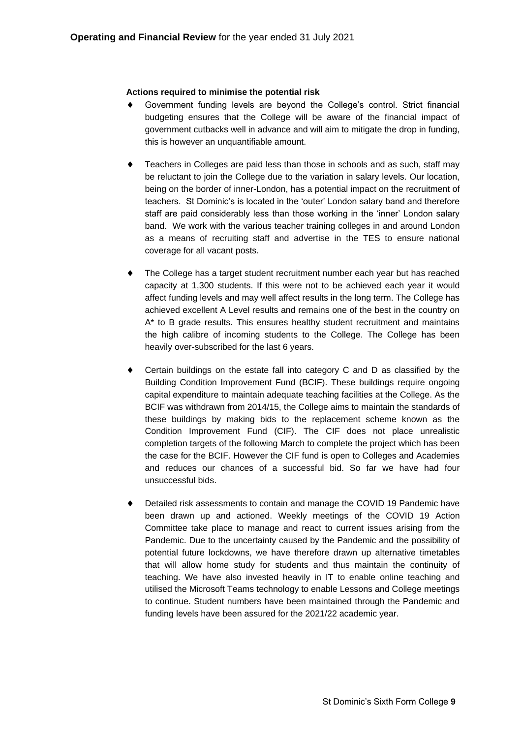### **Actions required to minimise the potential risk**

- Government funding levels are beyond the College's control. Strict financial budgeting ensures that the College will be aware of the financial impact of government cutbacks well in advance and will aim to mitigate the drop in funding, this is however an unquantifiable amount.
- Teachers in Colleges are paid less than those in schools and as such, staff may be reluctant to join the College due to the variation in salary levels. Our location, being on the border of inner-London, has a potential impact on the recruitment of teachers. St Dominic's is located in the 'outer' London salary band and therefore staff are paid considerably less than those working in the 'inner' London salary band. We work with the various teacher training colleges in and around London as a means of recruiting staff and advertise in the TES to ensure national coverage for all vacant posts.
- The College has a target student recruitment number each year but has reached capacity at 1,300 students. If this were not to be achieved each year it would affect funding levels and may well affect results in the long term. The College has achieved excellent A Level results and remains one of the best in the country on A\* to B grade results. This ensures healthy student recruitment and maintains the high calibre of incoming students to the College. The College has been heavily over-subscribed for the last 6 years.
- Certain buildings on the estate fall into category C and D as classified by the Building Condition Improvement Fund (BCIF). These buildings require ongoing capital expenditure to maintain adequate teaching facilities at the College. As the BCIF was withdrawn from 2014/15, the College aims to maintain the standards of these buildings by making bids to the replacement scheme known as the Condition Improvement Fund (CIF). The CIF does not place unrealistic completion targets of the following March to complete the project which has been the case for the BCIF. However the CIF fund is open to Colleges and Academies and reduces our chances of a successful bid. So far we have had four unsuccessful bids.
- Detailed risk assessments to contain and manage the COVID 19 Pandemic have been drawn up and actioned. Weekly meetings of the COVID 19 Action Committee take place to manage and react to current issues arising from the Pandemic. Due to the uncertainty caused by the Pandemic and the possibility of potential future lockdowns, we have therefore drawn up alternative timetables that will allow home study for students and thus maintain the continuity of teaching. We have also invested heavily in IT to enable online teaching and utilised the Microsoft Teams technology to enable Lessons and College meetings to continue. Student numbers have been maintained through the Pandemic and funding levels have been assured for the 2021/22 academic year.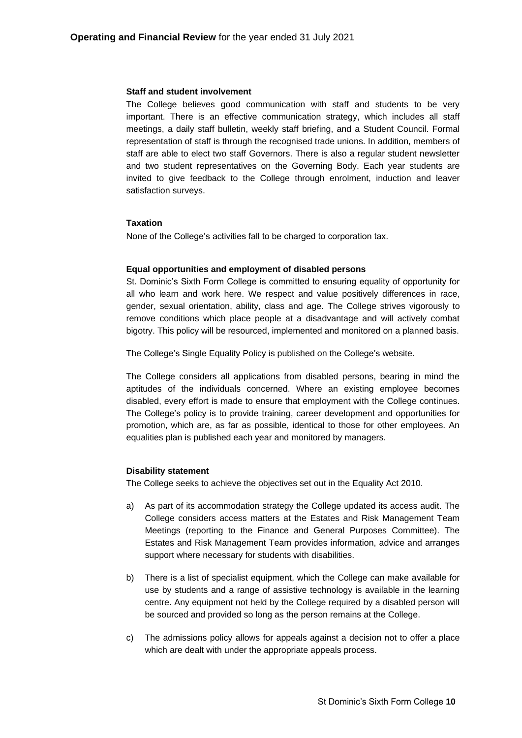#### **Staff and student involvement**

The College believes good communication with staff and students to be very important. There is an effective communication strategy, which includes all staff meetings, a daily staff bulletin, weekly staff briefing, and a Student Council. Formal representation of staff is through the recognised trade unions. In addition, members of staff are able to elect two staff Governors. There is also a regular student newsletter and two student representatives on the Governing Body. Each year students are invited to give feedback to the College through enrolment, induction and leaver satisfaction surveys.

#### **Taxation**

None of the College's activities fall to be charged to corporation tax.

#### **Equal opportunities and employment of disabled persons**

St. Dominic's Sixth Form College is committed to ensuring equality of opportunity for all who learn and work here. We respect and value positively differences in race, gender, sexual orientation, ability, class and age. The College strives vigorously to remove conditions which place people at a disadvantage and will actively combat bigotry. This policy will be resourced, implemented and monitored on a planned basis.

The College's Single Equality Policy is published on the College's website.

The College considers all applications from disabled persons, bearing in mind the aptitudes of the individuals concerned. Where an existing employee becomes disabled, every effort is made to ensure that employment with the College continues. The College's policy is to provide training, career development and opportunities for promotion, which are, as far as possible, identical to those for other employees. An equalities plan is published each year and monitored by managers.

#### **Disability statement**

The College seeks to achieve the objectives set out in the Equality Act 2010.

- a) As part of its accommodation strategy the College updated its access audit. The College considers access matters at the Estates and Risk Management Team Meetings (reporting to the Finance and General Purposes Committee). The Estates and Risk Management Team provides information, advice and arranges support where necessary for students with disabilities.
- b) There is a list of specialist equipment, which the College can make available for use by students and a range of assistive technology is available in the learning centre. Any equipment not held by the College required by a disabled person will be sourced and provided so long as the person remains at the College.
- c) The admissions policy allows for appeals against a decision not to offer a place which are dealt with under the appropriate appeals process.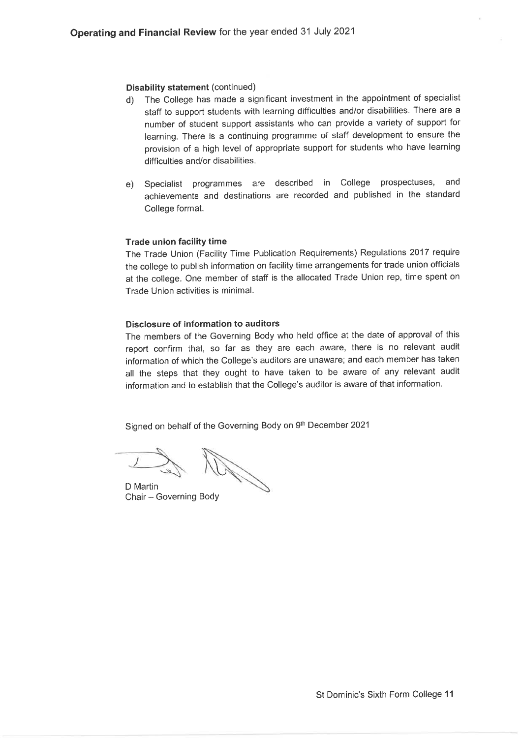#### **Disability statement (continued)**

- The College has made a significant investment in the appointment of specialist  $\mathsf{d}$ staff to support students with learning difficulties and/or disabilities. There are a number of student support assistants who can provide a variety of support for learning. There is a continuing programme of staff development to ensure the provision of a high level of appropriate support for students who have learning difficulties and/or disabilities.
- e) Specialist programmes are described in College prospectuses, and achievements and destinations are recorded and published in the standard College format.

#### **Trade union facility time**

The Trade Union (Facility Time Publication Requirements) Regulations 2017 require the college to publish information on facility time arrangements for trade union officials at the college. One member of staff is the allocated Trade Union rep, time spent on Trade Union activities is minimal.

#### Disclosure of information to auditors

The members of the Governing Body who held office at the date of approval of this report confirm that, so far as they are each aware, there is no relevant audit information of which the College's auditors are unaware; and each member has taken all the steps that they ought to have taken to be aware of any relevant audit information and to establish that the College's auditor is aware of that information.

Signed on behalf of the Governing Body on 9th December 2021

D Martin Chair - Governing Body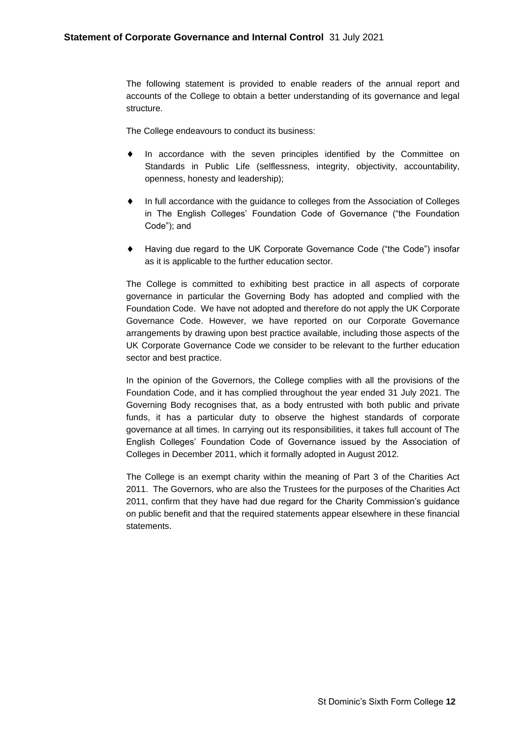The following statement is provided to enable readers of the annual report and accounts of the College to obtain a better understanding of its governance and legal structure.

The College endeavours to conduct its business:

- In accordance with the seven principles identified by the Committee on Standards in Public Life (selflessness, integrity, objectivity, accountability, openness, honesty and leadership);
- In full accordance with the guidance to colleges from the Association of Colleges in The English Colleges' Foundation Code of Governance ("the Foundation Code"); and
- Having due regard to the UK Corporate Governance Code ("the Code") insofar as it is applicable to the further education sector.

The College is committed to exhibiting best practice in all aspects of corporate governance in particular the Governing Body has adopted and complied with the Foundation Code. We have not adopted and therefore do not apply the UK Corporate Governance Code. However, we have reported on our Corporate Governance arrangements by drawing upon best practice available, including those aspects of the UK Corporate Governance Code we consider to be relevant to the further education sector and best practice.

In the opinion of the Governors, the College complies with all the provisions of the Foundation Code, and it has complied throughout the year ended 31 July 2021. The Governing Body recognises that, as a body entrusted with both public and private funds, it has a particular duty to observe the highest standards of corporate governance at all times. In carrying out its responsibilities, it takes full account of The English Colleges' Foundation Code of Governance issued by the Association of Colleges in December 2011, which it formally adopted in August 2012.

The College is an exempt charity within the meaning of Part 3 of the Charities Act 2011. The Governors, who are also the Trustees for the purposes of the Charities Act 2011, confirm that they have had due regard for the Charity Commission's guidance on public benefit and that the required statements appear elsewhere in these financial statements.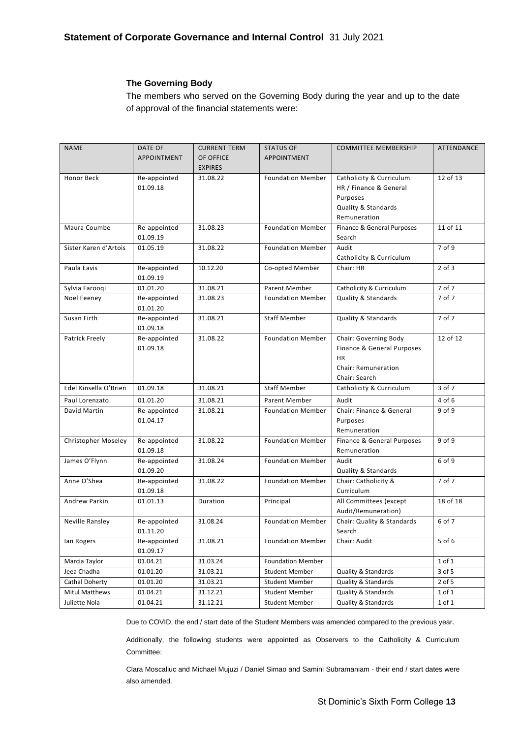### **The Governing Body**

The members who served on the Governing Body during the year and up to the date of approval of the financial statements were:

| <b>NAME</b>           | DATE OF      | <b>CURRENT TERM</b> | <b>STATUS OF</b>         | <b>COMMITTEE MEMBERSHIP</b>    | ATTENDANCE |
|-----------------------|--------------|---------------------|--------------------------|--------------------------------|------------|
|                       | APPOINTMENT  | OF OFFICE           | APPOINTMENT              |                                |            |
|                       |              | <b>EXPIRES</b>      |                          |                                |            |
| <b>Honor Beck</b>     | Re-appointed | 31.08.22            | <b>Foundation Member</b> | Catholicity & Curriculum       | 12 of 13   |
|                       | 01.09.18     |                     |                          | HR / Finance & General         |            |
|                       |              |                     |                          | Purposes                       |            |
|                       |              |                     |                          | Quality & Standards            |            |
|                       |              |                     |                          | Remuneration                   |            |
| Maura Coumbe          | Re-appointed | 31.08.23            | <b>Foundation Member</b> | Finance & General Purposes     | 11 of 11   |
|                       | 01.09.19     |                     |                          | Search                         |            |
| Sister Karen d'Artois | 01.05.19     | 31.08.22            | <b>Foundation Member</b> | Audit                          | 7 of 9     |
|                       |              |                     |                          | Catholicity & Curriculum       |            |
| Paula Eavis           | Re-appointed | 10.12.20            | Co-opted Member          | Chair: HR                      | $2$ of $3$ |
|                       | 01.09.19     |                     |                          |                                |            |
| Sylvia Farooqi        | 01.01.20     | 31.08.21            | Parent Member            | Catholicity & Curriculum       | 7 of 7     |
| Noel Feeney           | Re-appointed | 31.08.23            | <b>Foundation Member</b> | Quality & Standards            | 7 of 7     |
|                       | 01.01.20     |                     |                          |                                |            |
| Susan Firth           | Re-appointed | 31.08.21            | <b>Staff Member</b>      | Quality & Standards            | 7 of 7     |
|                       | 01.09.18     |                     |                          |                                |            |
| Patrick Freely        | Re-appointed | 31.08.22            | <b>Foundation Member</b> | Chair: Governing Body          | 12 of 12   |
|                       | 01.09.18     |                     |                          | Finance & General Purposes     |            |
|                       |              |                     |                          | <b>HR</b>                      |            |
|                       |              |                     |                          | Chair: Remuneration            |            |
|                       |              |                     |                          | Chair: Search                  |            |
| Edel Kinsella O'Brien | 01.09.18     | 31.08.21            | <b>Staff Member</b>      | Catholicity & Curriculum       | 3 of 7     |
| Paul Lorenzato        | 01.01.20     | 31.08.21            | Parent Member            | Audit                          | 4 of 6     |
| David Martin          | Re-appointed | 31.08.21            | <b>Foundation Member</b> | Chair: Finance & General       | 9 of 9     |
|                       | 01.04.17     |                     |                          | Purposes                       |            |
|                       |              |                     |                          | Remuneration                   |            |
| Christopher Moseley   | Re-appointed | 31.08.22            | <b>Foundation Member</b> | Finance & General Purposes     | $9$ of $9$ |
|                       | 01.09.18     |                     |                          | Remuneration                   |            |
| James O'Flynn         | Re-appointed | 31.08.24            | <b>Foundation Member</b> | Audit                          | 6 of 9     |
|                       | 01.09.20     |                     |                          | Quality & Standards            |            |
| Anne O'Shea           | Re-appointed | 31.08.22            | <b>Foundation Member</b> | Chair: Catholicity &           | 7 of 7     |
|                       | 01.09.18     |                     |                          | Curriculum                     |            |
| Andrew Parkin         | 01.01.13     | Duration            | Principal                | All Committees (except         | 18 of 18   |
|                       |              |                     |                          | Audit/Remuneration)            |            |
| Neville Ransley       | Re-appointed | 31.08.24            | <b>Foundation Member</b> | Chair: Quality & Standards     | 6 of 7     |
|                       | 01.11.20     |                     |                          | Search                         |            |
| lan Rogers            | Re-appointed | 31.08.21            | <b>Foundation Member</b> | Chair: Audit                   | 5 of 6     |
|                       | 01.09.17     |                     |                          |                                |            |
| Marcia Taylor         | 01.04.21     | 31.03.24            | <b>Foundation Member</b> |                                | $1$ of $1$ |
| Jeea Chadha           | 01.01.20     | 31.03.21            | <b>Student Member</b>    | <b>Quality &amp; Standards</b> | 3 of 5     |
| Cathal Doherty        | 01.01.20     | 31.03.21            | <b>Student Member</b>    | Quality & Standards            | $2$ of 5   |
| <b>Mitul Matthews</b> | 01.04.21     | 31.12.21            | <b>Student Member</b>    | <b>Quality &amp; Standards</b> | $1$ of $1$ |
| Juliette Nola         | 01.04.21     | 31.12.21            | <b>Student Member</b>    | Quality & Standards            | 1 of 1     |

Due to COVID, the end / start date of the Student Members was amended compared to the previous year.

Additionally, the following students were appointed as Observers to the Catholicity & Curriculum Committee:

Clara Moscaliuc and Michael Mujuzi / Daniel Simao and Samini Subramaniam - their end / start dates were also amended.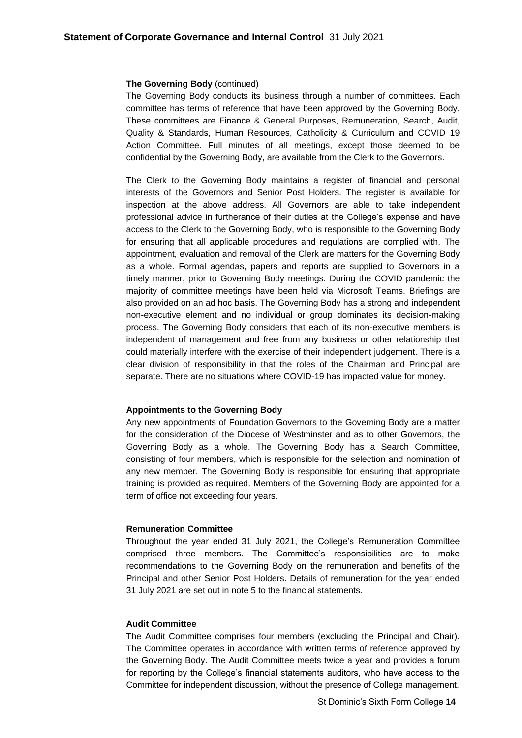#### **The Governing Body** (continued)

The Governing Body conducts its business through a number of committees. Each committee has terms of reference that have been approved by the Governing Body. These committees are Finance & General Purposes, Remuneration, Search, Audit, Quality & Standards, Human Resources, Catholicity & Curriculum and COVID 19 Action Committee. Full minutes of all meetings, except those deemed to be confidential by the Governing Body, are available from the Clerk to the Governors.

The Clerk to the Governing Body maintains a register of financial and personal interests of the Governors and Senior Post Holders. The register is available for inspection at the above address. All Governors are able to take independent professional advice in furtherance of their duties at the College's expense and have access to the Clerk to the Governing Body, who is responsible to the Governing Body for ensuring that all applicable procedures and regulations are complied with. The appointment, evaluation and removal of the Clerk are matters for the Governing Body as a whole. Formal agendas, papers and reports are supplied to Governors in a timely manner, prior to Governing Body meetings. During the COVID pandemic the majority of committee meetings have been held via Microsoft Teams. Briefings are also provided on an ad hoc basis. The Governing Body has a strong and independent non-executive element and no individual or group dominates its decision-making process. The Governing Body considers that each of its non-executive members is independent of management and free from any business or other relationship that could materially interfere with the exercise of their independent judgement. There is a clear division of responsibility in that the roles of the Chairman and Principal are separate. There are no situations where COVID-19 has impacted value for money.

#### **Appointments to the Governing Body**

Any new appointments of Foundation Governors to the Governing Body are a matter for the consideration of the Diocese of Westminster and as to other Governors, the Governing Body as a whole. The Governing Body has a Search Committee, consisting of four members, which is responsible for the selection and nomination of any new member. The Governing Body is responsible for ensuring that appropriate training is provided as required. Members of the Governing Body are appointed for a term of office not exceeding four years.

#### **Remuneration Committee**

Throughout the year ended 31 July 2021, the College's Remuneration Committee comprised three members. The Committee's responsibilities are to make recommendations to the Governing Body on the remuneration and benefits of the Principal and other Senior Post Holders. Details of remuneration for the year ended 31 July 2021 are set out in note 5 to the financial statements.

#### **Audit Committee**

The Audit Committee comprises four members (excluding the Principal and Chair). The Committee operates in accordance with written terms of reference approved by the Governing Body. The Audit Committee meets twice a year and provides a forum for reporting by the College's financial statements auditors, who have access to the Committee for independent discussion, without the presence of College management.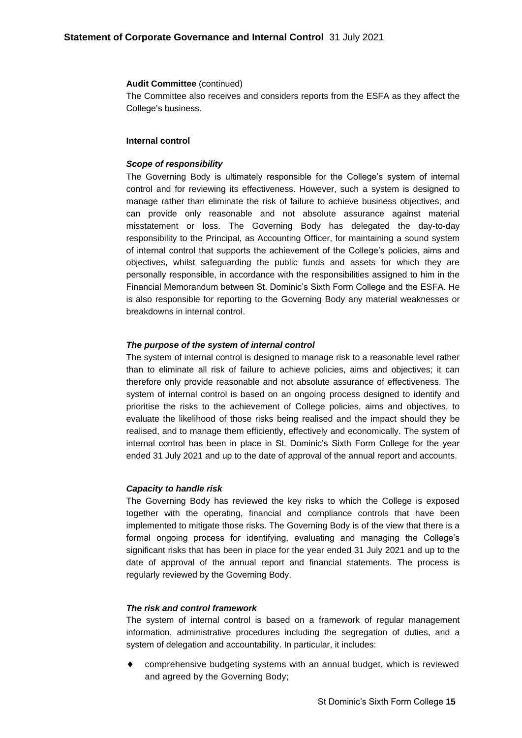#### **Audit Committee** (continued)

The Committee also receives and considers reports from the ESFA as they affect the College's business.

### **Internal control**

#### *Scope of responsibility*

The Governing Body is ultimately responsible for the College's system of internal control and for reviewing its effectiveness. However, such a system is designed to manage rather than eliminate the risk of failure to achieve business objectives, and can provide only reasonable and not absolute assurance against material misstatement or loss. The Governing Body has delegated the day-to-day responsibility to the Principal, as Accounting Officer, for maintaining a sound system of internal control that supports the achievement of the College's policies, aims and objectives, whilst safeguarding the public funds and assets for which they are personally responsible, in accordance with the responsibilities assigned to him in the Financial Memorandum between St. Dominic's Sixth Form College and the ESFA. He is also responsible for reporting to the Governing Body any material weaknesses or breakdowns in internal control.

#### *The purpose of the system of internal control*

The system of internal control is designed to manage risk to a reasonable level rather than to eliminate all risk of failure to achieve policies, aims and objectives; it can therefore only provide reasonable and not absolute assurance of effectiveness. The system of internal control is based on an ongoing process designed to identify and prioritise the risks to the achievement of College policies, aims and objectives, to evaluate the likelihood of those risks being realised and the impact should they be realised, and to manage them efficiently, effectively and economically. The system of internal control has been in place in St. Dominic's Sixth Form College for the year ended 31 July 2021 and up to the date of approval of the annual report and accounts.

#### *Capacity to handle risk*

The Governing Body has reviewed the key risks to which the College is exposed together with the operating, financial and compliance controls that have been implemented to mitigate those risks. The Governing Body is of the view that there is a formal ongoing process for identifying, evaluating and managing the College's significant risks that has been in place for the year ended 31 July 2021 and up to the date of approval of the annual report and financial statements. The process is regularly reviewed by the Governing Body.

### *The risk and control framework*

The system of internal control is based on a framework of regular management information, administrative procedures including the segregation of duties, and a system of delegation and accountability. In particular, it includes:

 comprehensive budgeting systems with an annual budget, which is reviewed and agreed by the Governing Body;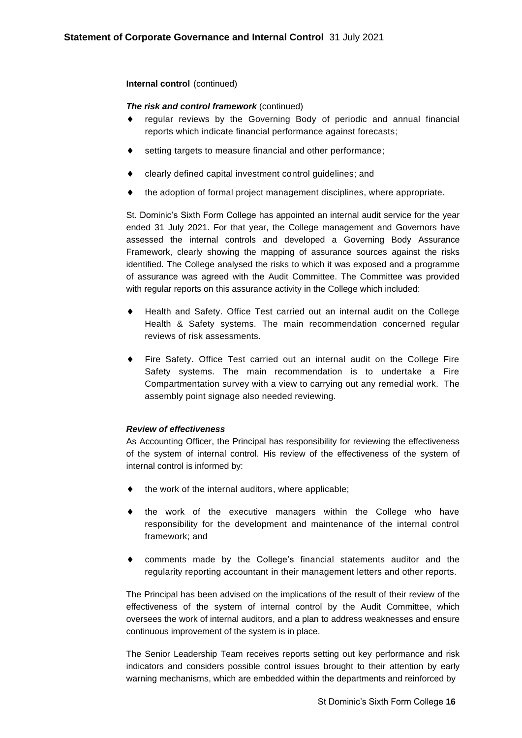### **Internal control** (continued)

### *The risk and control framework* (continued)

- regular reviews by the Governing Body of periodic and annual financial reports which indicate financial performance against forecasts;
- setting targets to measure financial and other performance;
- clearly defined capital investment control guidelines; and
- the adoption of formal project management disciplines, where appropriate.

St. Dominic's Sixth Form College has appointed an internal audit service for the year ended 31 July 2021. For that year, the College management and Governors have assessed the internal controls and developed a Governing Body Assurance Framework, clearly showing the mapping of assurance sources against the risks identified. The College analysed the risks to which it was exposed and a programme of assurance was agreed with the Audit Committee. The Committee was provided with regular reports on this assurance activity in the College which included:

- Health and Safety. Office Test carried out an internal audit on the College Health & Safety systems. The main recommendation concerned regular reviews of risk assessments.
- Fire Safety. Office Test carried out an internal audit on the College Fire Safety systems. The main recommendation is to undertake a Fire Compartmentation survey with a view to carrying out any remedial work. The assembly point signage also needed reviewing.

### *Review of effectiveness*

As Accounting Officer, the Principal has responsibility for reviewing the effectiveness of the system of internal control. His review of the effectiveness of the system of internal control is informed by:

- the work of the internal auditors, where applicable;
- the work of the executive managers within the College who have responsibility for the development and maintenance of the internal control framework; and
- comments made by the College's financial statements auditor and the regularity reporting accountant in their management letters and other reports.

The Principal has been advised on the implications of the result of their review of the effectiveness of the system of internal control by the Audit Committee, which oversees the work of internal auditors, and a plan to address weaknesses and ensure continuous improvement of the system is in place.

The Senior Leadership Team receives reports setting out key performance and risk indicators and considers possible control issues brought to their attention by early warning mechanisms, which are embedded within the departments and reinforced by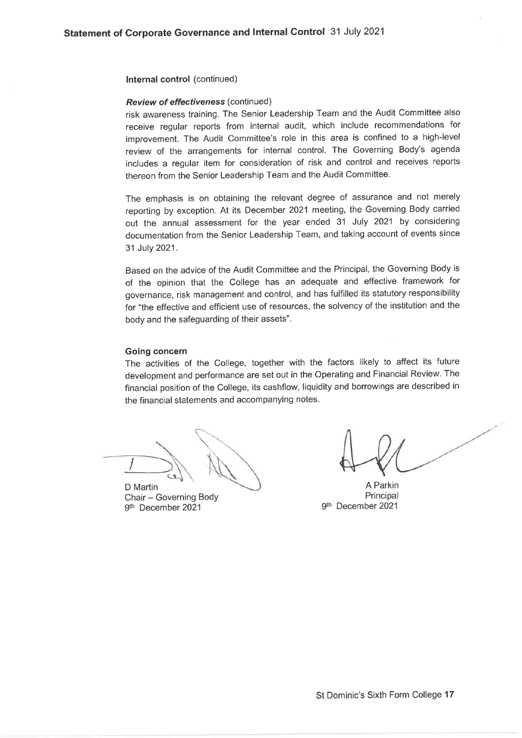Internal control (continued)

#### Review of effectiveness (continued)

risk awareness training. The Senior Leadership Team and the Audit Committee also receive regular reports from internal audit, which include recommendations for improvement. The Audit Committee's role in this area is confined to a high-level review of the arrangements for internal control. The Governing Body's agenda includes a regular item for consideration of risk and control and receives reports thereon from the Senior Leadership Team and the Audit Committee.

The emphasis is on obtaining the relevant degree of assurance and not merely reporting by exception. At its December 2021 meeting, the Governing Body carried out the annual assessment for the year ended 31 July 2021 by considering documentation from the Senior Leadership Team, and taking account of events since 31 July 2021.

Based on the advice of the Audit Committee and the Principal, the Governing Body is of the opinion that the College has an adequate and effective framework for governance, risk management and control, and has fulfilled its statutory responsibility for "the effective and efficient use of resources, the solvency of the institution and the body and the safeguarding of their assets".

#### **Going concern**

The activities of the College, together with the factors likely to affect its future development and performance are set out in the Operating and Financial Review. The financial position of the College, its cashflow, liquidity and borrowings are described in the financial statements and accompanying notes.

D Martin Chair - Governing Body 9th December 2021

A Parkin Principal 9th December 2021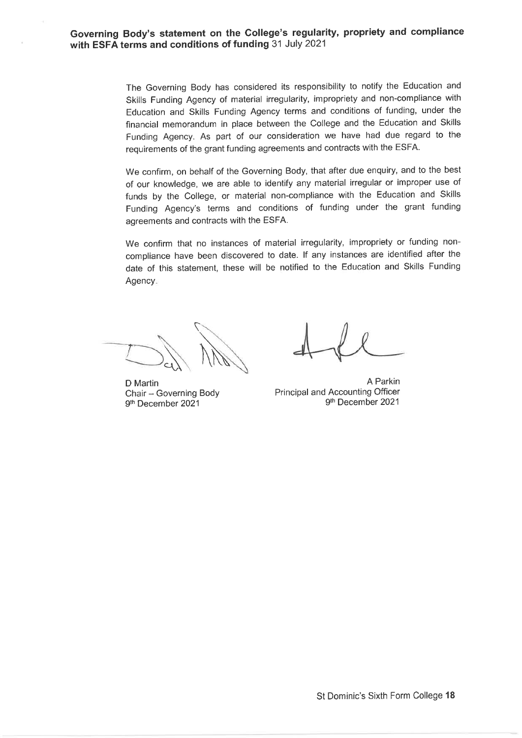The Governing Body has considered its responsibility to notify the Education and Skills Funding Agency of material irregularity, impropriety and non-compliance with Education and Skills Funding Agency terms and conditions of funding, under the financial memorandum in place between the College and the Education and Skills Funding Agency. As part of our consideration we have had due regard to the requirements of the grant funding agreements and contracts with the ESFA.

We confirm, on behalf of the Governing Body, that after due enquiry, and to the best of our knowledge, we are able to identify any material irregular or improper use of funds by the College, or material non-compliance with the Education and Skills Funding Agency's terms and conditions of funding under the grant funding agreements and contracts with the ESFA.

We confirm that no instances of material irregularity, impropriety or funding noncompliance have been discovered to date. If any instances are identified after the date of this statement, these will be notified to the Education and Skills Funding Agency.

D Martin Chair - Governing Body 9th December 2021

A Parkin Principal and Accounting Officer 9th December 2021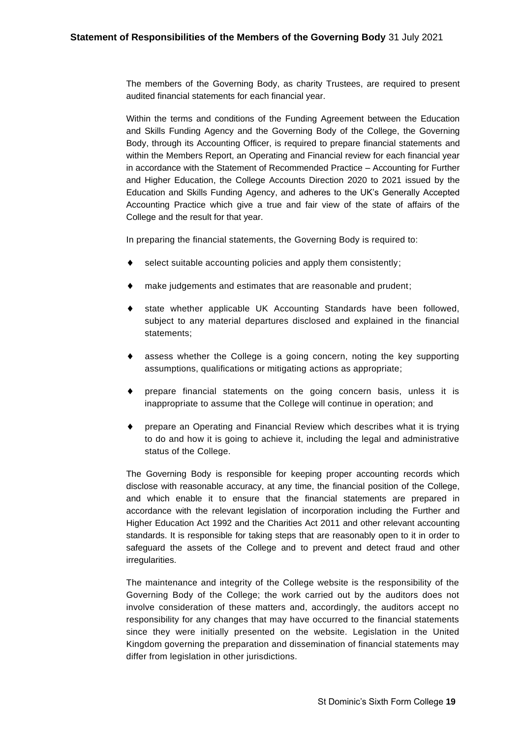The members of the Governing Body, as charity Trustees, are required to present audited financial statements for each financial year.

Within the terms and conditions of the Funding Agreement between the Education and Skills Funding Agency and the Governing Body of the College, the Governing Body, through its Accounting Officer, is required to prepare financial statements and within the Members Report, an Operating and Financial review for each financial year in accordance with the Statement of Recommended Practice – Accounting for Further and Higher Education, the College Accounts Direction 2020 to 2021 issued by the Education and Skills Funding Agency, and adheres to the UK's Generally Accepted Accounting Practice which give a true and fair view of the state of affairs of the College and the result for that year.

In preparing the financial statements, the Governing Body is required to:

- select suitable accounting policies and apply them consistently;
- make judgements and estimates that are reasonable and prudent;
- state whether applicable UK Accounting Standards have been followed, subject to any material departures disclosed and explained in the financial statements;
- assess whether the College is a going concern, noting the key supporting assumptions, qualifications or mitigating actions as appropriate;
- prepare financial statements on the going concern basis, unless it is inappropriate to assume that the College will continue in operation; and
- prepare an Operating and Financial Review which describes what it is trying to do and how it is going to achieve it, including the legal and administrative status of the College.

The Governing Body is responsible for keeping proper accounting records which disclose with reasonable accuracy, at any time, the financial position of the College, and which enable it to ensure that the financial statements are prepared in accordance with the relevant legislation of incorporation including the Further and Higher Education Act 1992 and the Charities Act 2011 and other relevant accounting standards. It is responsible for taking steps that are reasonably open to it in order to safeguard the assets of the College and to prevent and detect fraud and other irregularities.

The maintenance and integrity of the College website is the responsibility of the Governing Body of the College; the work carried out by the auditors does not involve consideration of these matters and, accordingly, the auditors accept no responsibility for any changes that may have occurred to the financial statements since they were initially presented on the website. Legislation in the United Kingdom governing the preparation and dissemination of financial statements may differ from legislation in other jurisdictions.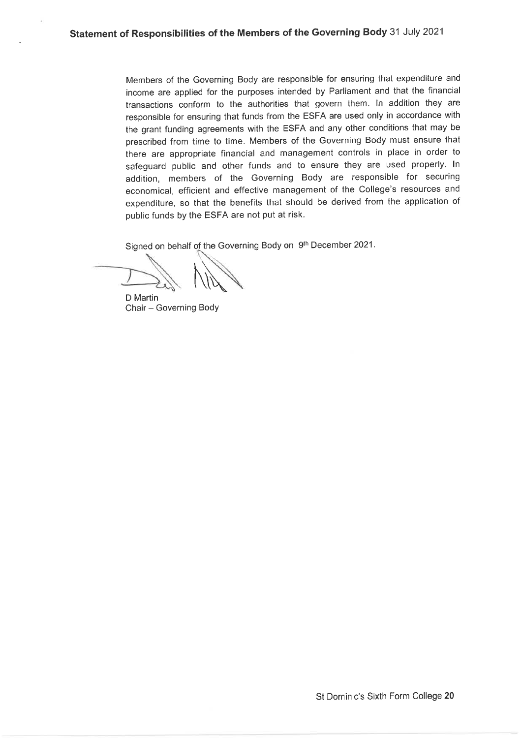Members of the Governing Body are responsible for ensuring that expenditure and income are applied for the purposes intended by Parliament and that the financial transactions conform to the authorities that govern them. In addition they are responsible for ensuring that funds from the ESFA are used only in accordance with the grant funding agreements with the ESFA and any other conditions that may be prescribed from time to time. Members of the Governing Body must ensure that there are appropriate financial and management controls in place in order to safeguard public and other funds and to ensure they are used properly. In addition, members of the Governing Body are responsible for securing economical, efficient and effective management of the College's resources and expenditure, so that the benefits that should be derived from the application of public funds by the ESFA are not put at risk.

Signed on behalf of the Governing Body on 9th December 2021.

D Martin Chair - Governing Body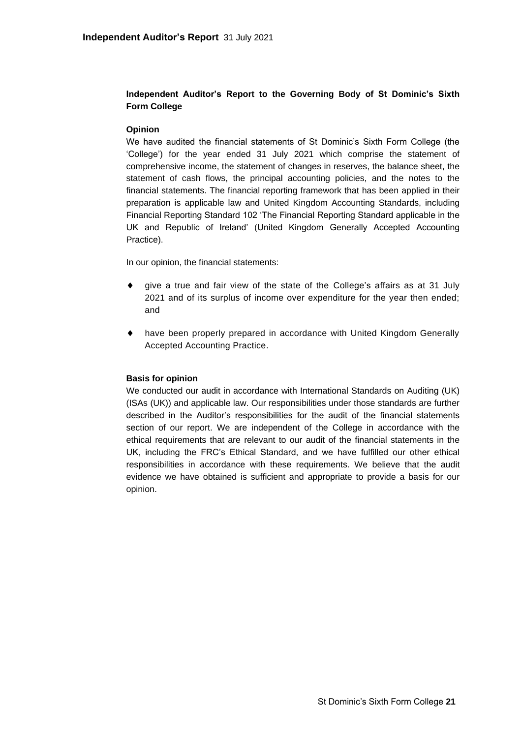# **Independent Auditor's Report to the Governing Body of St Dominic's Sixth Form College**

### **Opinion**

We have audited the financial statements of St Dominic's Sixth Form College (the 'College') for the year ended 31 July 2021 which comprise the statement of comprehensive income, the statement of changes in reserves, the balance sheet, the statement of cash flows, the principal accounting policies, and the notes to the financial statements. The financial reporting framework that has been applied in their preparation is applicable law and United Kingdom Accounting Standards, including Financial Reporting Standard 102 'The Financial Reporting Standard applicable in the UK and Republic of Ireland' (United Kingdom Generally Accepted Accounting Practice).

In our opinion, the financial statements:

- give a true and fair view of the state of the College's affairs as at 31 July 2021 and of its surplus of income over expenditure for the year then ended; and
- have been properly prepared in accordance with United Kingdom Generally Accepted Accounting Practice.

### **Basis for opinion**

We conducted our audit in accordance with International Standards on Auditing (UK) (ISAs (UK)) and applicable law. Our responsibilities under those standards are further described in the Auditor's responsibilities for the audit of the financial statements section of our report. We are independent of the College in accordance with the ethical requirements that are relevant to our audit of the financial statements in the UK, including the FRC's Ethical Standard, and we have fulfilled our other ethical responsibilities in accordance with these requirements. We believe that the audit evidence we have obtained is sufficient and appropriate to provide a basis for our opinion.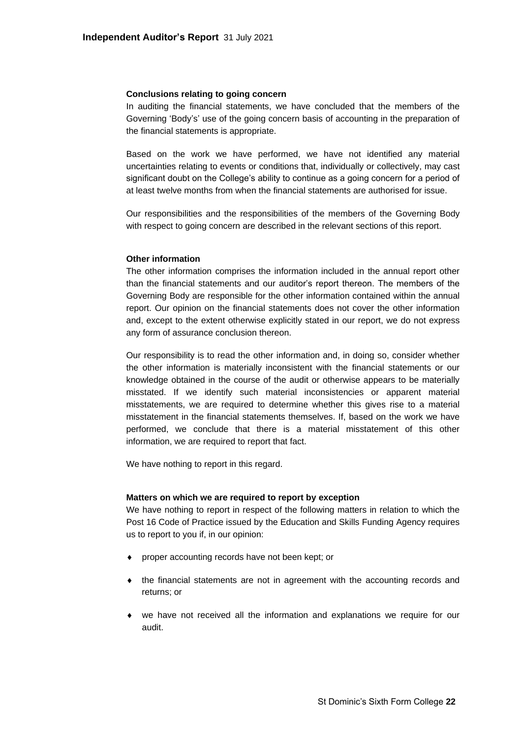#### **Conclusions relating to going concern**

In auditing the financial statements, we have concluded that the members of the Governing 'Body's' use of the going concern basis of accounting in the preparation of the financial statements is appropriate.

Based on the work we have performed, we have not identified any material uncertainties relating to events or conditions that, individually or collectively, may cast significant doubt on the College's ability to continue as a going concern for a period of at least twelve months from when the financial statements are authorised for issue.

Our responsibilities and the responsibilities of the members of the Governing Body with respect to going concern are described in the relevant sections of this report.

#### **Other information**

The other information comprises the information included in the annual report other than the financial statements and our auditor's report thereon. The members of the Governing Body are responsible for the other information contained within the annual report. Our opinion on the financial statements does not cover the other information and, except to the extent otherwise explicitly stated in our report, we do not express any form of assurance conclusion thereon.

Our responsibility is to read the other information and, in doing so, consider whether the other information is materially inconsistent with the financial statements or our knowledge obtained in the course of the audit or otherwise appears to be materially misstated. If we identify such material inconsistencies or apparent material misstatements, we are required to determine whether this gives rise to a material misstatement in the financial statements themselves. If, based on the work we have performed, we conclude that there is a material misstatement of this other information, we are required to report that fact.

We have nothing to report in this regard.

#### **Matters on which we are required to report by exception**

We have nothing to report in respect of the following matters in relation to which the Post 16 Code of Practice issued by the Education and Skills Funding Agency requires us to report to you if, in our opinion:

- proper accounting records have not been kept; or
- the financial statements are not in agreement with the accounting records and returns; or
- we have not received all the information and explanations we require for our audit.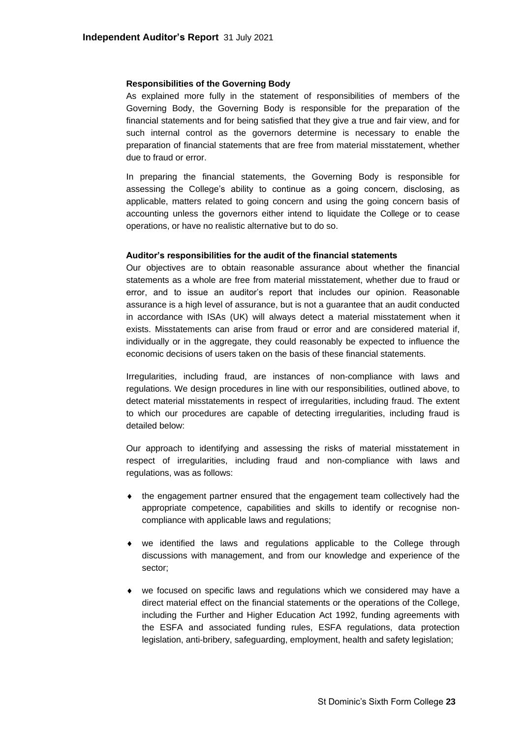#### **Responsibilities of the Governing Body**

As explained more fully in the statement of responsibilities of members of the Governing Body, the Governing Body is responsible for the preparation of the financial statements and for being satisfied that they give a true and fair view, and for such internal control as the governors determine is necessary to enable the preparation of financial statements that are free from material misstatement, whether due to fraud or error.

In preparing the financial statements, the Governing Body is responsible for assessing the College's ability to continue as a going concern, disclosing, as applicable, matters related to going concern and using the going concern basis of accounting unless the governors either intend to liquidate the College or to cease operations, or have no realistic alternative but to do so.

#### **Auditor's responsibilities for the audit of the financial statements**

Our objectives are to obtain reasonable assurance about whether the financial statements as a whole are free from material misstatement, whether due to fraud or error, and to issue an auditor's report that includes our opinion. Reasonable assurance is a high level of assurance, but is not a guarantee that an audit conducted in accordance with ISAs (UK) will always detect a material misstatement when it exists. Misstatements can arise from fraud or error and are considered material if, individually or in the aggregate, they could reasonably be expected to influence the economic decisions of users taken on the basis of these financial statements.

Irregularities, including fraud, are instances of non-compliance with laws and regulations. We design procedures in line with our responsibilities, outlined above, to detect material misstatements in respect of irregularities, including fraud. The extent to which our procedures are capable of detecting irregularities, including fraud is detailed below:

Our approach to identifying and assessing the risks of material misstatement in respect of irregularities, including fraud and non-compliance with laws and regulations, was as follows:

- the engagement partner ensured that the engagement team collectively had the appropriate competence, capabilities and skills to identify or recognise noncompliance with applicable laws and regulations;
- we identified the laws and regulations applicable to the College through discussions with management, and from our knowledge and experience of the sector;
- we focused on specific laws and regulations which we considered may have a direct material effect on the financial statements or the operations of the College, including the Further and Higher Education Act 1992, funding agreements with the ESFA and associated funding rules, ESFA regulations, data protection legislation, anti-bribery, safeguarding, employment, health and safety legislation;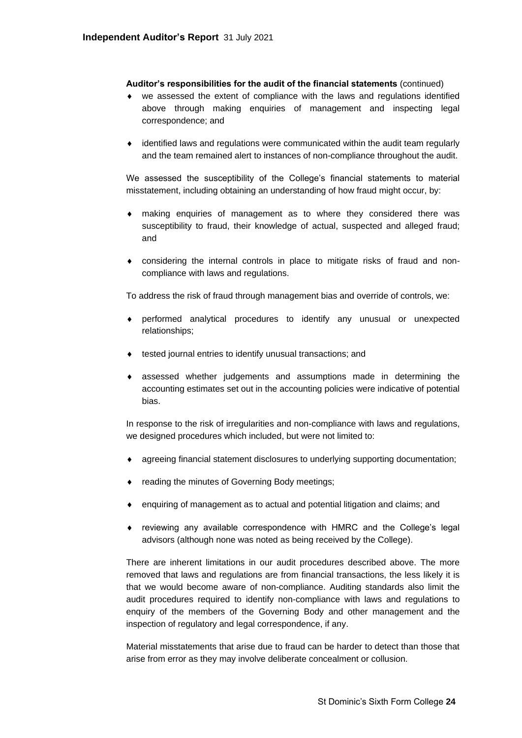### **Auditor's responsibilities for the audit of the financial statements** (continued)

- we assessed the extent of compliance with the laws and regulations identified above through making enquiries of management and inspecting legal correspondence; and
- identified laws and regulations were communicated within the audit team regularly and the team remained alert to instances of non-compliance throughout the audit.

We assessed the susceptibility of the College's financial statements to material misstatement, including obtaining an understanding of how fraud might occur, by:

- making enquiries of management as to where they considered there was susceptibility to fraud, their knowledge of actual, suspected and alleged fraud; and
- considering the internal controls in place to mitigate risks of fraud and noncompliance with laws and regulations.

To address the risk of fraud through management bias and override of controls, we:

- performed analytical procedures to identify any unusual or unexpected relationships;
- tested journal entries to identify unusual transactions; and
- assessed whether judgements and assumptions made in determining the accounting estimates set out in the accounting policies were indicative of potential bias.

In response to the risk of irregularities and non-compliance with laws and regulations, we designed procedures which included, but were not limited to:

- agreeing financial statement disclosures to underlying supporting documentation;
- reading the minutes of Governing Body meetings;
- enquiring of management as to actual and potential litigation and claims; and
- reviewing any available correspondence with HMRC and the College's legal advisors (although none was noted as being received by the College).

There are inherent limitations in our audit procedures described above. The more removed that laws and regulations are from financial transactions, the less likely it is that we would become aware of non-compliance. Auditing standards also limit the audit procedures required to identify non-compliance with laws and regulations to enquiry of the members of the Governing Body and other management and the inspection of regulatory and legal correspondence, if any.

Material misstatements that arise due to fraud can be harder to detect than those that arise from error as they may involve deliberate concealment or collusion.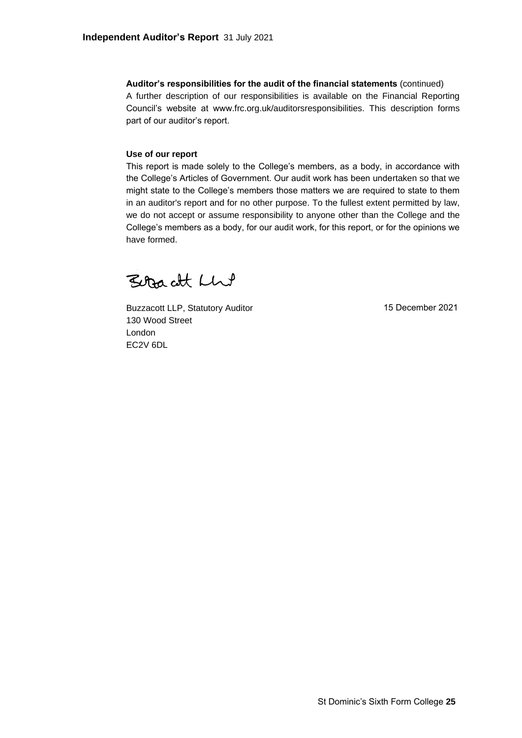**Auditor's responsibilities for the audit of the financial statements** (continued) A further description of our responsibilities is available on the Financial Reporting Council's website at www.frc.org.uk/auditorsresponsibilities. This description forms part of our auditor's report.

### **Use of our report**

This report is made solely to the College's members, as a body, in accordance with the College's Articles of Government. Our audit work has been undertaken so that we might state to the College's members those matters we are required to state to them in an auditor's report and for no other purpose. To the fullest extent permitted by law, we do not accept or assume responsibility to anyone other than the College and the College's members as a body, for our audit work, for this report, or for the opinions we have formed.

Betracht Lhut

Buzzacott LLP, Statutory Auditor 130 Wood Street London EC2V 6DL

15 December 2021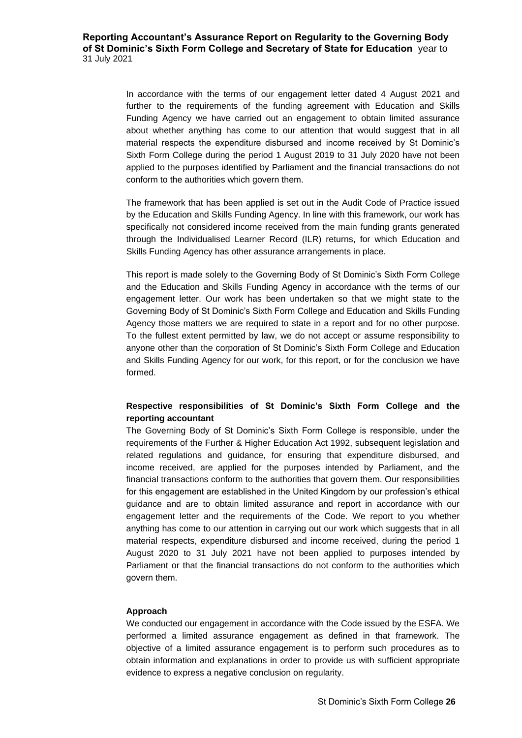In accordance with the terms of our engagement letter dated 4 August 2021 and further to the requirements of the funding agreement with Education and Skills Funding Agency we have carried out an engagement to obtain limited assurance about whether anything has come to our attention that would suggest that in all material respects the expenditure disbursed and income received by St Dominic's Sixth Form College during the period 1 August 2019 to 31 July 2020 have not been applied to the purposes identified by Parliament and the financial transactions do not conform to the authorities which govern them.

The framework that has been applied is set out in the Audit Code of Practice issued by the Education and Skills Funding Agency. In line with this framework, our work has specifically not considered income received from the main funding grants generated through the Individualised Learner Record (ILR) returns, for which Education and Skills Funding Agency has other assurance arrangements in place.

This report is made solely to the Governing Body of St Dominic's Sixth Form College and the Education and Skills Funding Agency in accordance with the terms of our engagement letter. Our work has been undertaken so that we might state to the Governing Body of St Dominic's Sixth Form College and Education and Skills Funding Agency those matters we are required to state in a report and for no other purpose. To the fullest extent permitted by law, we do not accept or assume responsibility to anyone other than the corporation of St Dominic's Sixth Form College and Education and Skills Funding Agency for our work, for this report, or for the conclusion we have formed.

# **Respective responsibilities of St Dominic's Sixth Form College and the reporting accountant**

The Governing Body of St Dominic's Sixth Form College is responsible, under the requirements of the Further & Higher Education Act 1992, subsequent legislation and related regulations and guidance, for ensuring that expenditure disbursed, and income received, are applied for the purposes intended by Parliament, and the financial transactions conform to the authorities that govern them. Our responsibilities for this engagement are established in the United Kingdom by our profession's ethical guidance and are to obtain limited assurance and report in accordance with our engagement letter and the requirements of the Code. We report to you whether anything has come to our attention in carrying out our work which suggests that in all material respects, expenditure disbursed and income received, during the period 1 August 2020 to 31 July 2021 have not been applied to purposes intended by Parliament or that the financial transactions do not conform to the authorities which govern them.

### **Approach**

We conducted our engagement in accordance with the Code issued by the ESFA. We performed a limited assurance engagement as defined in that framework. The objective of a limited assurance engagement is to perform such procedures as to obtain information and explanations in order to provide us with sufficient appropriate evidence to express a negative conclusion on regularity.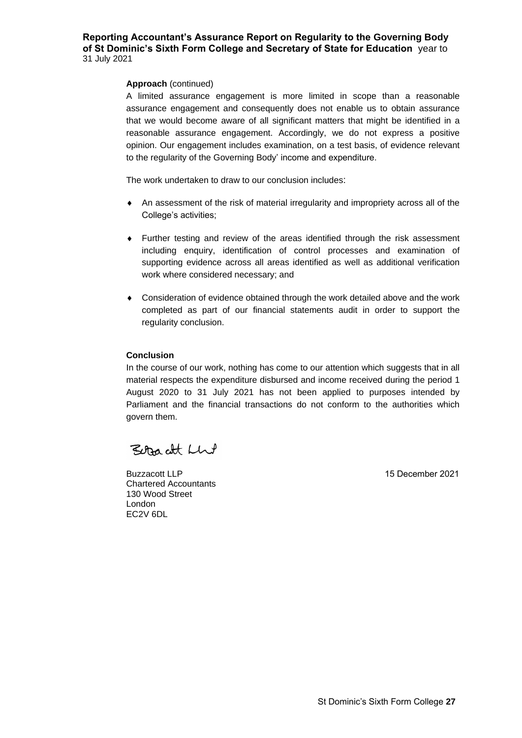### **Reporting Accountant's Assurance Report on Regularity to the Governing Body of St Dominic's Sixth Form College and Secretary of State for Education** year to 31 July 2021 DRAFT

### **Approach** (continued)

A limited assurance engagement is more limited in scope than a reasonable assurance engagement and consequently does not enable us to obtain assurance that we would become aware of all significant matters that might be identified in a reasonable assurance engagement. Accordingly, we do not express a positive opinion. Our engagement includes examination, on a test basis, of evidence relevant to the regularity of the Governing Body' income and expenditure.

The work undertaken to draw to our conclusion includes:

- An assessment of the risk of material irregularity and impropriety across all of the College's activities;
- Further testing and review of the areas identified through the risk assessment including enquiry, identification of control processes and examination of supporting evidence across all areas identified as well as additional verification work where considered necessary; and
- Consideration of evidence obtained through the work detailed above and the work completed as part of our financial statements audit in order to support the regularity conclusion.

### **Conclusion**

In the course of our work, nothing has come to our attention which suggests that in all material respects the expenditure disbursed and income received during the period 1 August 2020 to 31 July 2021 has not been applied to purposes intended by Parliament and the financial transactions do not conform to the authorities which govern them.

Better att Llut

Buzzacott LLP Chartered Accountants 130 Wood Street London EC2V 6DL

15 December 2021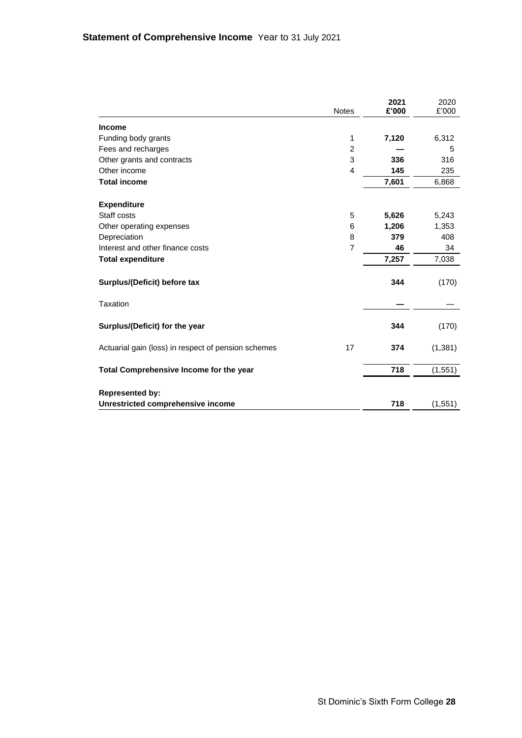|                                                     | <b>Notes</b>   | 2021<br>£'000 | 2020<br>£'000 |
|-----------------------------------------------------|----------------|---------------|---------------|
|                                                     |                |               |               |
| <b>Income</b>                                       |                |               |               |
| Funding body grants                                 | 1              | 7,120         | 6,312         |
| Fees and recharges                                  | $\overline{2}$ |               | 5             |
| Other grants and contracts                          | 3              | 336           | 316           |
| Other income                                        | $\overline{4}$ | 145           | 235           |
| <b>Total income</b>                                 |                | 7,601         | 6,868         |
| <b>Expenditure</b>                                  |                |               |               |
| Staff costs                                         | 5              | 5,626         | 5,243         |
| Other operating expenses                            | 6              | 1,206         | 1,353         |
| Depreciation                                        | 8              | 379           | 408           |
| Interest and other finance costs                    | $\overline{7}$ | 46            | 34            |
| <b>Total expenditure</b>                            |                | 7,257         | 7,038         |
| Surplus/(Deficit) before tax                        |                | 344           | (170)         |
| Taxation                                            |                |               |               |
| Surplus/(Deficit) for the year                      |                | 344           | (170)         |
| Actuarial gain (loss) in respect of pension schemes | 17             | 374           | (1, 381)      |
| Total Comprehensive Income for the year             |                | 718           | (1, 551)      |
| <b>Represented by:</b>                              |                |               |               |
| Unrestricted comprehensive income                   |                | 718           | (1, 551)      |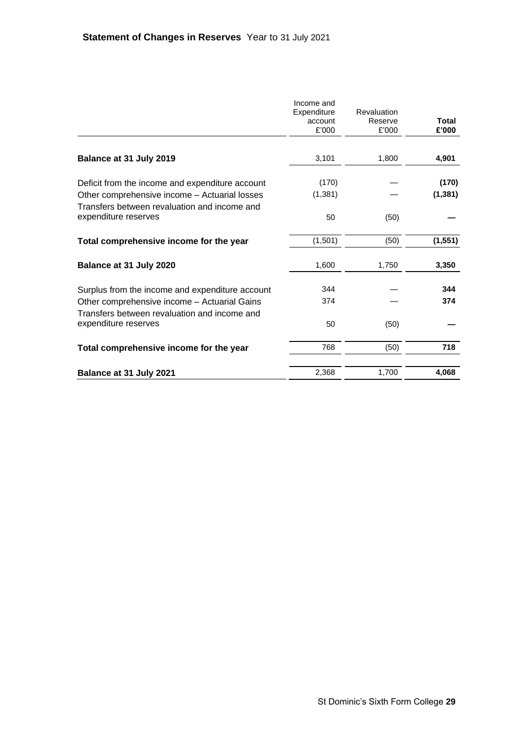|                                                                                               | Income and<br>Expenditure<br>account<br>£'000 | Revaluation<br>Reserve<br>£'000 | Total<br>£'000 |
|-----------------------------------------------------------------------------------------------|-----------------------------------------------|---------------------------------|----------------|
| Balance at 31 July 2019                                                                       | 3,101                                         | 1,800                           | 4,901          |
|                                                                                               |                                               |                                 |                |
| Deficit from the income and expenditure account                                               | (170)                                         |                                 | (170)          |
| Other comprehensive income - Actuarial losses<br>Transfers between revaluation and income and | (1, 381)                                      |                                 | (1, 381)       |
| expenditure reserves                                                                          | 50                                            | (50)                            |                |
| Total comprehensive income for the year                                                       | (1,501)                                       | (50)                            | (1, 551)       |
| Balance at 31 July 2020                                                                       | 1,600                                         | 1,750                           | 3,350          |
| Surplus from the income and expenditure account                                               | 344                                           |                                 | 344            |
| Other comprehensive income - Actuarial Gains<br>Transfers between revaluation and income and  | 374                                           |                                 | 374            |
| expenditure reserves                                                                          | 50                                            | (50)                            |                |
| Total comprehensive income for the year                                                       | 768                                           | (50)                            | 718            |
| Balance at 31 July 2021                                                                       | 2,368                                         | 1,700                           | 4,068          |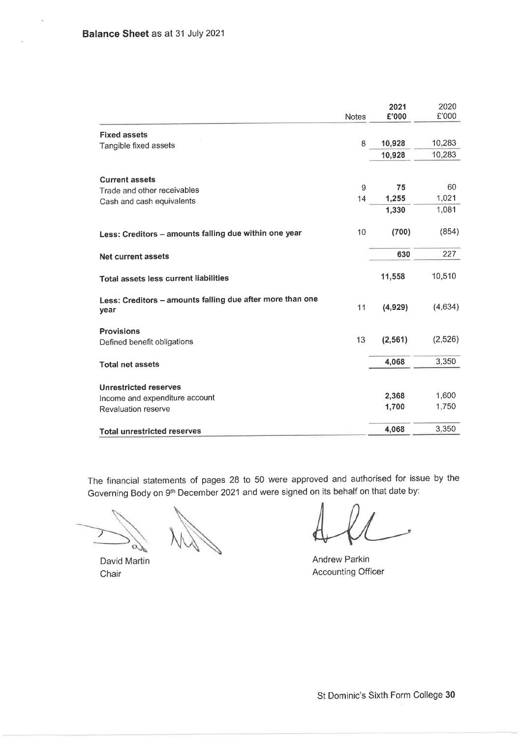i,

|                                                                   | <b>Notes</b> | 2021<br>£'000 | 2020<br>£'000 |
|-------------------------------------------------------------------|--------------|---------------|---------------|
| <b>Fixed assets</b>                                               |              |               |               |
| Tangible fixed assets                                             | 8            | 10,928        | 10,283        |
|                                                                   |              | 10,928        | 10,283        |
| <b>Current assets</b>                                             |              |               |               |
| Trade and other receivables                                       | 9            | 75            | 60            |
| Cash and cash equivalents                                         | 14           | 1,255         | 1,021         |
|                                                                   |              | 1,330         | 1,081         |
| Less: Creditors - amounts falling due within one year             | 10           | (700)         | (854)         |
| <b>Net current assets</b>                                         |              | 630           | 227           |
| Total assets less current liabilities                             |              | 11,558        | 10,510        |
| Less: Creditors - amounts falling due after more than one<br>year | 11           | (4,929)       | (4,634)       |
| <b>Provisions</b>                                                 |              |               |               |
| Defined benefit obligations                                       | 13           | (2, 561)      | (2,526)       |
| <b>Total net assets</b>                                           |              | 4,068         | 3,350         |
| <b>Unrestricted reserves</b>                                      |              |               |               |
| Income and expenditure account                                    |              | 2,368         | 1,600         |
| Revaluation reserve                                               |              | 1,700         | 1,750         |
| <b>Total unrestricted reserves</b>                                |              | 4,068         | 3,350         |

The financial statements of pages 28 to 50 were approved and authorised for issue by the Governing Body on 9th December 2021 and were signed on its behalf on that date by:

David Martin Chair

Andrew Parkin **Accounting Officer**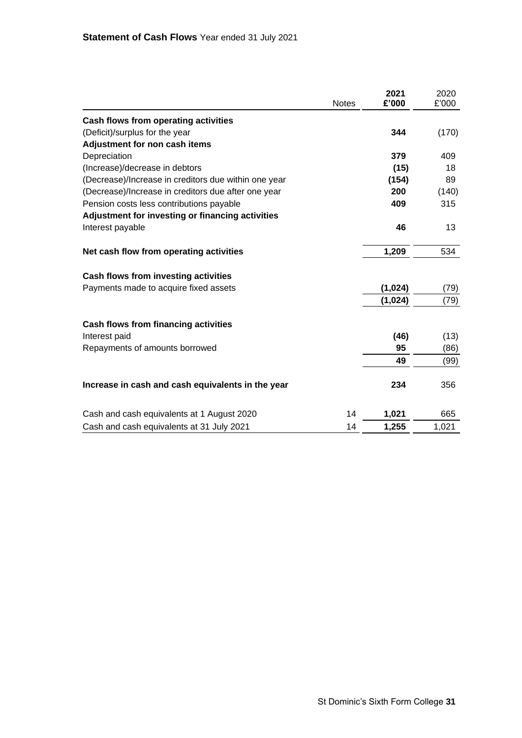|                                                      |              | 2021    | 2020  |
|------------------------------------------------------|--------------|---------|-------|
|                                                      | <b>Notes</b> | £'000   | £'000 |
| Cash flows from operating activities                 |              |         |       |
| (Deficit)/surplus for the year                       |              | 344     | (170) |
| Adjustment for non cash items                        |              |         |       |
| Depreciation                                         |              | 379     | 409   |
| (Increase)/decrease in debtors                       |              | (15)    | 18    |
| (Decrease)/Increase in creditors due within one year |              | (154)   | 89    |
| (Decrease)/Increase in creditors due after one year  |              | 200     | (140) |
| Pension costs less contributions payable             |              | 409     | 315   |
| Adjustment for investing or financing activities     |              |         |       |
| Interest payable                                     |              | 46      | 13    |
| Net cash flow from operating activities              |              | 1,209   | 534   |
| Cash flows from investing activities                 |              |         |       |
| Payments made to acquire fixed assets                |              | (1,024) | (79)  |
|                                                      |              | (1,024) | (79)  |
| Cash flows from financing activities                 |              |         |       |
| Interest paid                                        |              | (46)    | (13)  |
| Repayments of amounts borrowed                       |              | 95      | (86)  |
|                                                      |              | 49      | (99)  |
| Increase in cash and cash equivalents in the year    |              | 234     | 356   |
| Cash and cash equivalents at 1 August 2020           | 14           | 1,021   | 665   |
| Cash and cash equivalents at 31 July 2021            | 14           | 1,255   | 1,021 |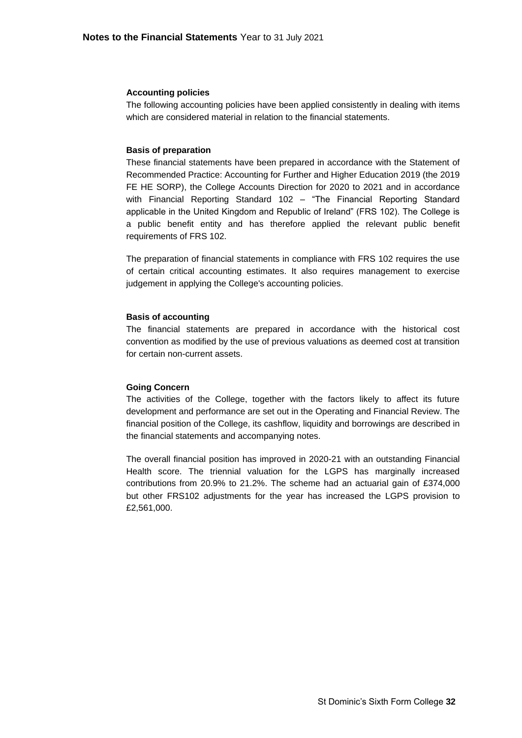#### **Accounting policies**

The following accounting policies have been applied consistently in dealing with items which are considered material in relation to the financial statements.

#### **Basis of preparation**

These financial statements have been prepared in accordance with the Statement of Recommended Practice: Accounting for Further and Higher Education 2019 (the 2019 FE HE SORP), the College Accounts Direction for 2020 to 2021 and in accordance with Financial Reporting Standard 102 – "The Financial Reporting Standard applicable in the United Kingdom and Republic of Ireland" (FRS 102). The College is a public benefit entity and has therefore applied the relevant public benefit requirements of FRS 102.

The preparation of financial statements in compliance with FRS 102 requires the use of certain critical accounting estimates. It also requires management to exercise judgement in applying the College's accounting policies.

#### **Basis of accounting**

The financial statements are prepared in accordance with the historical cost convention as modified by the use of previous valuations as deemed cost at transition for certain non-current assets.

#### **Going Concern**

The activities of the College, together with the factors likely to affect its future development and performance are set out in the Operating and Financial Review. The financial position of the College, its cashflow, liquidity and borrowings are described in the financial statements and accompanying notes.

The overall financial position has improved in 2020-21 with an outstanding Financial Health score. The triennial valuation for the LGPS has marginally increased contributions from 20.9% to 21.2%. The scheme had an actuarial gain of £374,000 but other FRS102 adjustments for the year has increased the LGPS provision to £2,561,000.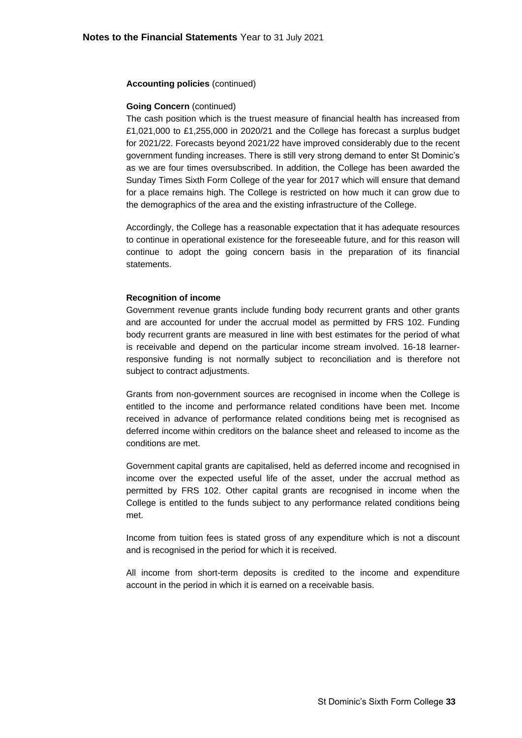### **Going Concern** (continued)

The cash position which is the truest measure of financial health has increased from £1,021,000 to £1,255,000 in 2020/21 and the College has forecast a surplus budget for 2021/22. Forecasts beyond 2021/22 have improved considerably due to the recent government funding increases. There is still very strong demand to enter St Dominic's as we are four times oversubscribed. In addition, the College has been awarded the Sunday Times Sixth Form College of the year for 2017 which will ensure that demand for a place remains high. The College is restricted on how much it can grow due to the demographics of the area and the existing infrastructure of the College.

Accordingly, the College has a reasonable expectation that it has adequate resources to continue in operational existence for the foreseeable future, and for this reason will continue to adopt the going concern basis in the preparation of its financial statements.

### **Recognition of income**

Government revenue grants include funding body recurrent grants and other grants and are accounted for under the accrual model as permitted by FRS 102. Funding body recurrent grants are measured in line with best estimates for the period of what is receivable and depend on the particular income stream involved. 16-18 learnerresponsive funding is not normally subject to reconciliation and is therefore not subject to contract adjustments.

Grants from non-government sources are recognised in income when the College is entitled to the income and performance related conditions have been met. Income received in advance of performance related conditions being met is recognised as deferred income within creditors on the balance sheet and released to income as the conditions are met.

Government capital grants are capitalised, held as deferred income and recognised in income over the expected useful life of the asset, under the accrual method as permitted by FRS 102. Other capital grants are recognised in income when the College is entitled to the funds subject to any performance related conditions being met.

Income from tuition fees is stated gross of any expenditure which is not a discount and is recognised in the period for which it is received.

All income from short-term deposits is credited to the income and expenditure account in the period in which it is earned on a receivable basis.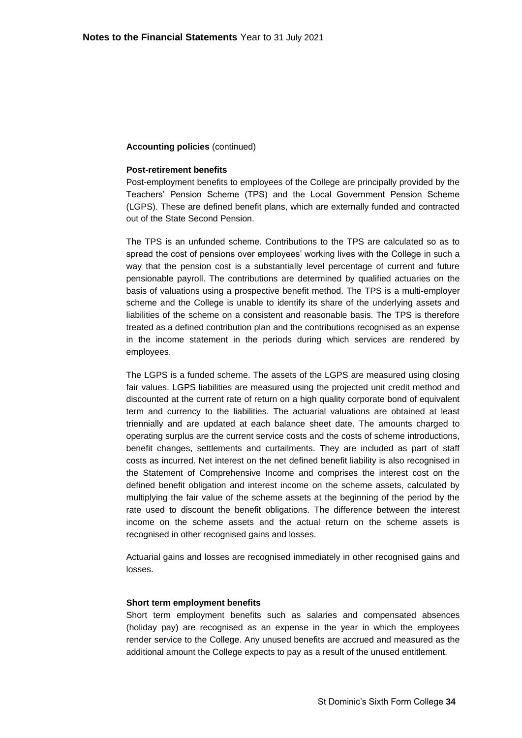#### **Post-retirement benefits**

Post-employment benefits to employees of the College are principally provided by the Teachers' Pension Scheme (TPS) and the Local Government Pension Scheme (LGPS). These are defined benefit plans, which are externally funded and contracted out of the State Second Pension.

The TPS is an unfunded scheme. Contributions to the TPS are calculated so as to spread the cost of pensions over employees' working lives with the College in such a way that the pension cost is a substantially level percentage of current and future pensionable payroll. The contributions are determined by qualified actuaries on the basis of valuations using a prospective benefit method. The TPS is a multi-employer scheme and the College is unable to identify its share of the underlying assets and liabilities of the scheme on a consistent and reasonable basis. The TPS is therefore treated as a defined contribution plan and the contributions recognised as an expense in the income statement in the periods during which services are rendered by employees.

The LGPS is a funded scheme. The assets of the LGPS are measured using closing fair values. LGPS liabilities are measured using the projected unit credit method and discounted at the current rate of return on a high quality corporate bond of equivalent term and currency to the liabilities. The actuarial valuations are obtained at least triennially and are updated at each balance sheet date. The amounts charged to operating surplus are the current service costs and the costs of scheme introductions, benefit changes, settlements and curtailments. They are included as part of staff costs as incurred. Net interest on the net defined benefit liability is also recognised in the Statement of Comprehensive Income and comprises the interest cost on the defined benefit obligation and interest income on the scheme assets, calculated by multiplying the fair value of the scheme assets at the beginning of the period by the rate used to discount the benefit obligations. The difference between the interest income on the scheme assets and the actual return on the scheme assets is recognised in other recognised gains and losses.

Actuarial gains and losses are recognised immediately in other recognised gains and losses.

### **Short term employment benefits**

Short term employment benefits such as salaries and compensated absences (holiday pay) are recognised as an expense in the year in which the employees render service to the College. Any unused benefits are accrued and measured as the additional amount the College expects to pay as a result of the unused entitlement.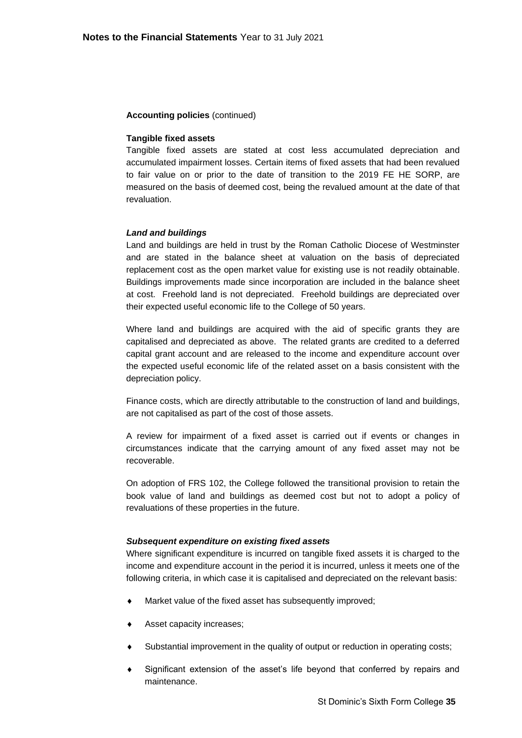#### **Tangible fixed assets**

Tangible fixed assets are stated at cost less accumulated depreciation and accumulated impairment losses. Certain items of fixed assets that had been revalued to fair value on or prior to the date of transition to the 2019 FE HE SORP, are measured on the basis of deemed cost, being the revalued amount at the date of that revaluation.

#### *Land and buildings*

Land and buildings are held in trust by the Roman Catholic Diocese of Westminster and are stated in the balance sheet at valuation on the basis of depreciated replacement cost as the open market value for existing use is not readily obtainable. Buildings improvements made since incorporation are included in the balance sheet at cost. Freehold land is not depreciated. Freehold buildings are depreciated over their expected useful economic life to the College of 50 years.

Where land and buildings are acquired with the aid of specific grants they are capitalised and depreciated as above. The related grants are credited to a deferred capital grant account and are released to the income and expenditure account over the expected useful economic life of the related asset on a basis consistent with the depreciation policy.

Finance costs, which are directly attributable to the construction of land and buildings, are not capitalised as part of the cost of those assets.

A review for impairment of a fixed asset is carried out if events or changes in circumstances indicate that the carrying amount of any fixed asset may not be recoverable.

On adoption of FRS 102, the College followed the transitional provision to retain the book value of land and buildings as deemed cost but not to adopt a policy of revaluations of these properties in the future.

#### *Subsequent expenditure on existing fixed assets*

Where significant expenditure is incurred on tangible fixed assets it is charged to the income and expenditure account in the period it is incurred, unless it meets one of the following criteria, in which case it is capitalised and depreciated on the relevant basis:

- Market value of the fixed asset has subsequently improved;
- Asset capacity increases;
- Substantial improvement in the quality of output or reduction in operating costs;
- Significant extension of the asset's life beyond that conferred by repairs and maintenance.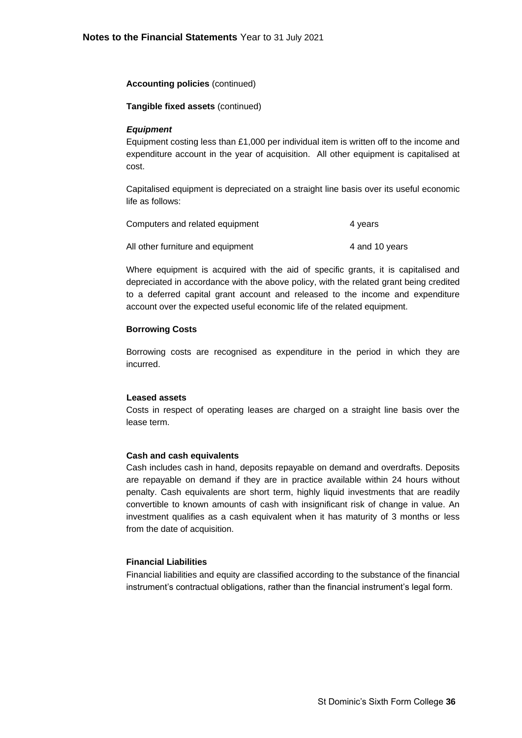### **Tangible fixed assets** (continued)

### *Equipment*

Equipment costing less than £1,000 per individual item is written off to the income and expenditure account in the year of acquisition. All other equipment is capitalised at cost.

Capitalised equipment is depreciated on a straight line basis over its useful economic life as follows:

| Computers and related equipment   | 4 years        |
|-----------------------------------|----------------|
| All other furniture and equipment | 4 and 10 years |

Where equipment is acquired with the aid of specific grants, it is capitalised and depreciated in accordance with the above policy, with the related grant being credited to a deferred capital grant account and released to the income and expenditure account over the expected useful economic life of the related equipment.

### **Borrowing Costs**

Borrowing costs are recognised as expenditure in the period in which they are incurred.

#### **Leased assets**

Costs in respect of operating leases are charged on a straight line basis over the lease term.

### **Cash and cash equivalents**

Cash includes cash in hand, deposits repayable on demand and overdrafts. Deposits are repayable on demand if they are in practice available within 24 hours without penalty. Cash equivalents are short term, highly liquid investments that are readily convertible to known amounts of cash with insignificant risk of change in value. An investment qualifies as a cash equivalent when it has maturity of 3 months or less from the date of acquisition.

### **Financial Liabilities**

Financial liabilities and equity are classified according to the substance of the financial instrument's contractual obligations, rather than the financial instrument's legal form.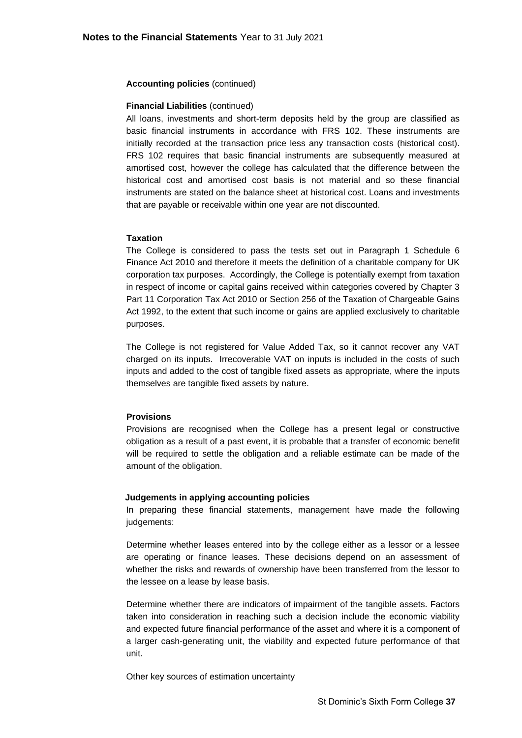#### **Financial Liabilities** (continued)

All loans, investments and short-term deposits held by the group are classified as basic financial instruments in accordance with FRS 102. These instruments are initially recorded at the transaction price less any transaction costs (historical cost). FRS 102 requires that basic financial instruments are subsequently measured at amortised cost, however the college has calculated that the difference between the historical cost and amortised cost basis is not material and so these financial instruments are stated on the balance sheet at historical cost. Loans and investments that are payable or receivable within one year are not discounted.

#### **Taxation**

The College is considered to pass the tests set out in Paragraph 1 Schedule 6 Finance Act 2010 and therefore it meets the definition of a charitable company for UK corporation tax purposes. Accordingly, the College is potentially exempt from taxation in respect of income or capital gains received within categories covered by Chapter 3 Part 11 Corporation Tax Act 2010 or Section 256 of the Taxation of Chargeable Gains Act 1992, to the extent that such income or gains are applied exclusively to charitable purposes.

The College is not registered for Value Added Tax, so it cannot recover any VAT charged on its inputs. Irrecoverable VAT on inputs is included in the costs of such inputs and added to the cost of tangible fixed assets as appropriate, where the inputs themselves are tangible fixed assets by nature.

### **Provisions**

Provisions are recognised when the College has a present legal or constructive obligation as a result of a past event, it is probable that a transfer of economic benefit will be required to settle the obligation and a reliable estimate can be made of the amount of the obligation.

#### **Judgements in applying accounting policies**

In preparing these financial statements, management have made the following judgements:

Determine whether leases entered into by the college either as a lessor or a lessee are operating or finance leases. These decisions depend on an assessment of whether the risks and rewards of ownership have been transferred from the lessor to the lessee on a lease by lease basis.

Determine whether there are indicators of impairment of the tangible assets. Factors taken into consideration in reaching such a decision include the economic viability and expected future financial performance of the asset and where it is a component of a larger cash-generating unit, the viability and expected future performance of that unit.

Other key sources of estimation uncertainty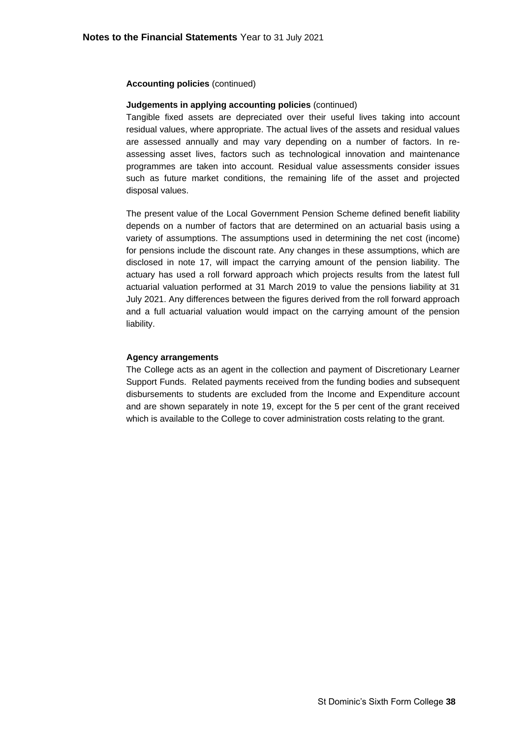### **Judgements in applying accounting policies** (continued)

Tangible fixed assets are depreciated over their useful lives taking into account residual values, where appropriate. The actual lives of the assets and residual values are assessed annually and may vary depending on a number of factors. In reassessing asset lives, factors such as technological innovation and maintenance programmes are taken into account. Residual value assessments consider issues such as future market conditions, the remaining life of the asset and projected disposal values.

The present value of the Local Government Pension Scheme defined benefit liability depends on a number of factors that are determined on an actuarial basis using a variety of assumptions. The assumptions used in determining the net cost (income) for pensions include the discount rate. Any changes in these assumptions, which are disclosed in note 17, will impact the carrying amount of the pension liability. The actuary has used a roll forward approach which projects results from the latest full actuarial valuation performed at 31 March 2019 to value the pensions liability at 31 July 2021. Any differences between the figures derived from the roll forward approach and a full actuarial valuation would impact on the carrying amount of the pension liability.

#### **Agency arrangements**

The College acts as an agent in the collection and payment of Discretionary Learner Support Funds. Related payments received from the funding bodies and subsequent disbursements to students are excluded from the Income and Expenditure account and are shown separately in note 19, except for the 5 per cent of the grant received which is available to the College to cover administration costs relating to the grant.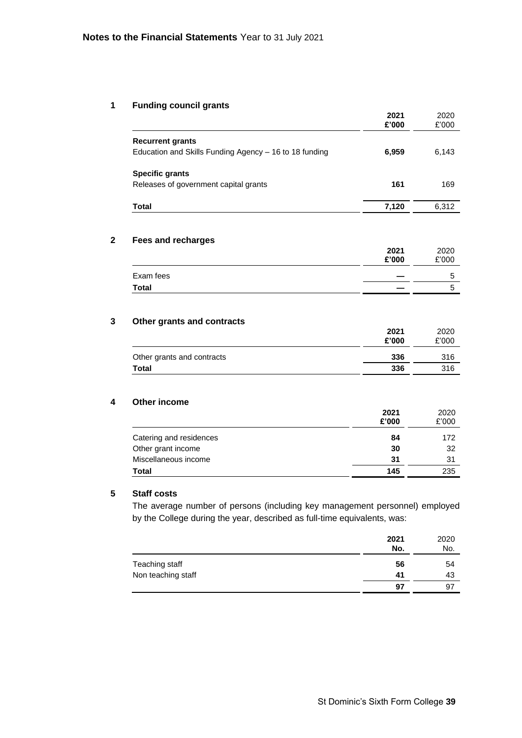# **1 Funding council grants**

|                                                        | 2021<br>£'000 | 2020<br>£'000 |
|--------------------------------------------------------|---------------|---------------|
| <b>Recurrent grants</b>                                |               |               |
| Education and Skills Funding Agency - 16 to 18 funding | 6,959         | 6,143         |
| <b>Specific grants</b>                                 |               |               |
| Releases of government capital grants                  | 161           | 169           |
| <b>Total</b>                                           | 7,120         | 6,312         |
|                                                        |               |               |
| <b>Fees and recharges</b>                              |               |               |
|                                                        | 2021          | 2020          |
|                                                        | £'000         | £'000         |
| Exam fees                                              |               | 5             |
| <b>Total</b>                                           |               | 5             |
|                                                        |               |               |
|                                                        |               | 2020          |
| Other grants and contracts                             | 2021          |               |
|                                                        | £'000         | £'000         |
| Other grants and contracts                             | 336           | 316           |

|                         | £'000 | £'000 |
|-------------------------|-------|-------|
| Catering and residences | 84    | 172   |
| Other grant income      | 30    | 32    |
| Miscellaneous income    | 31    | 31    |
| Total                   | 145   | 235   |

# **5 Staff costs**

The average number of persons (including key management personnel) employed by the College during the year, described as full-time equivalents, was:

|                    | 2021<br>No. | 2020<br>No. |
|--------------------|-------------|-------------|
| Teaching staff     | 56          | 54          |
| Non teaching staff | 41          | 43          |
|                    | 97          | 97          |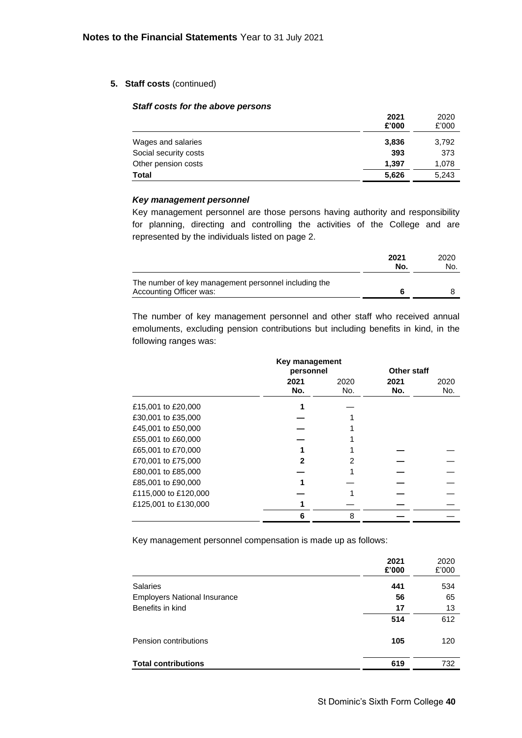### **5. Staff costs** (continued)

#### *Staff costs for the above persons*

| $9.411$ $9.9010$ $191$ $110$ $400$ $10$ $100$ $100$ |               |               |
|-----------------------------------------------------|---------------|---------------|
|                                                     | 2021<br>£'000 | 2020<br>£'000 |
| Wages and salaries                                  | 3,836         | 3,792         |
| Social security costs                               | 393           | 373           |
| Other pension costs                                 | 1.397         | 1,078         |
| <b>Total</b>                                        | 5,626         | 5,243         |
|                                                     |               |               |

#### *Key management personnel*

Key management personnel are those persons having authority and responsibility for planning, directing and controlling the activities of the College and are represented by the individuals listed on page 2.

|                                                                                 | 2021<br>No. | 2020<br>No. |
|---------------------------------------------------------------------------------|-------------|-------------|
| The number of key management personnel including the<br>Accounting Officer was: |             |             |

The number of key management personnel and other staff who received annual emoluments, excluding pension contributions but including benefits in kind, in the following ranges was:

|                      | Key management<br>personnel |             | Other staff |             |
|----------------------|-----------------------------|-------------|-------------|-------------|
|                      | 2021<br>No.                 | 2020<br>No. | 2021<br>No. | 2020<br>No. |
| £15,001 to £20,000   |                             |             |             |             |
| £30,001 to £35,000   |                             |             |             |             |
| £45,001 to £50,000   |                             |             |             |             |
| £55,001 to £60,000   |                             |             |             |             |
| £65,001 to £70,000   |                             |             |             |             |
| £70,001 to £75,000   |                             |             |             |             |
| £80,001 to £85,000   |                             |             |             |             |
| £85,001 to £90,000   |                             |             |             |             |
| £115,000 to £120,000 |                             |             |             |             |
| £125,001 to £130,000 |                             |             |             |             |
|                      | 6                           | 8           |             |             |

Key management personnel compensation is made up as follows:

|                                     | 2021<br>£'000 | 2020<br>£'000 |
|-------------------------------------|---------------|---------------|
| <b>Salaries</b>                     | 441           | 534           |
| <b>Employers National Insurance</b> | 56            | 65            |
| Benefits in kind                    | 17            | 13            |
|                                     | 514           | 612           |
| Pension contributions               | 105           | 120           |
| <b>Total contributions</b>          | 619           | 732           |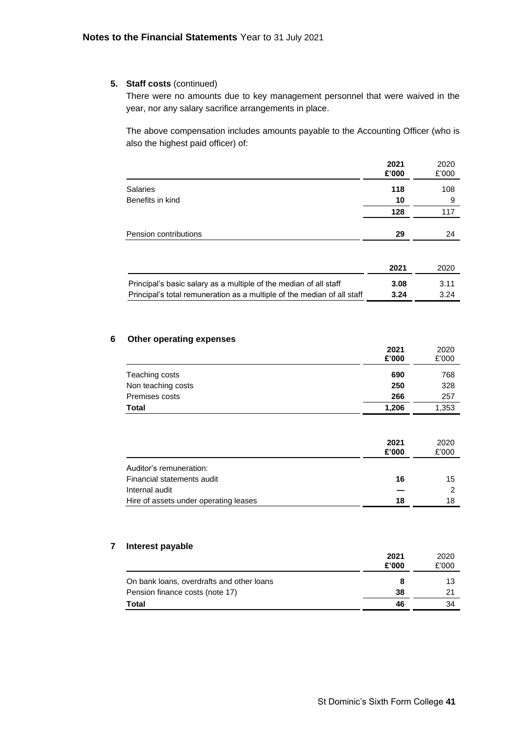### **5. Staff costs** (continued)

There were no amounts due to key management personnel that were waived in the year, nor any salary sacrifice arrangements in place.

The above compensation includes amounts payable to the Accounting Officer (who is also the highest paid officer) of:

|                                                                         | 2021<br>£'000 | 2020<br>£'000 |
|-------------------------------------------------------------------------|---------------|---------------|
| <b>Salaries</b>                                                         | 118           | 108           |
| Benefits in kind                                                        | 10            | 9             |
|                                                                         | 128           | 117           |
| Pension contributions                                                   | 29            | 24            |
|                                                                         |               |               |
|                                                                         | 2021          | 2020          |
| Principal's basic salary as a multiple of the median of all staff       | 3.08          | 3.11          |
| Principal's total remuneration as a multiple of the median of all staff | 3.24          | 3.24          |

#### **6 Other operating expenses**

|                    | 2021<br>£'000 | 2020<br>£'000 |
|--------------------|---------------|---------------|
| Teaching costs     | 690           | 768           |
| Non teaching costs | 250           | 328           |
| Premises costs     | 266           | 257           |
| <b>Total</b>       | 1,206         | 1,353         |

|                                       | 2021<br>£'000 | 2020<br>£'000 |
|---------------------------------------|---------------|---------------|
| Auditor's remuneration:               |               |               |
| Financial statements audit            | 16            | 15            |
| Internal audit                        |               | 2             |
| Hire of assets under operating leases | 18            | 18            |

#### **7 Interest payable**

|                                           | 2021<br>£'000 | 2020<br>£'000 |
|-------------------------------------------|---------------|---------------|
| On bank loans, overdrafts and other loans | 8             | 13            |
| Pension finance costs (note 17)           | 38            | 21            |
| <b>Total</b>                              | 46            | 34            |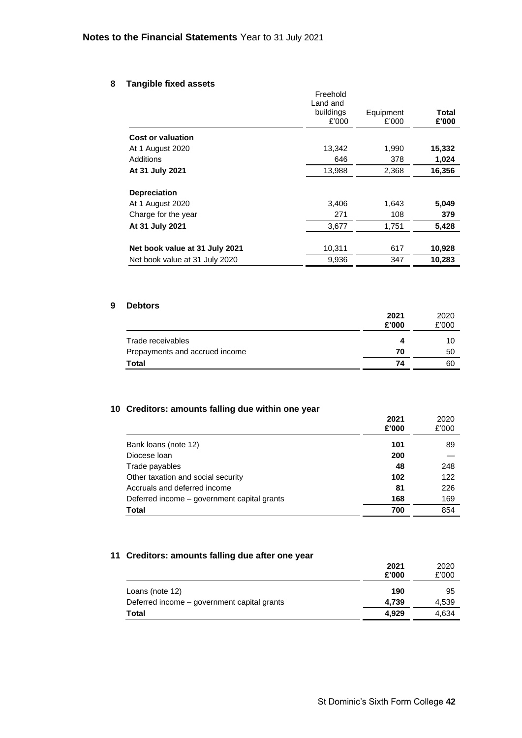### **8 Tangible fixed assets**

|                                | Freehold<br>Land and |           |              |
|--------------------------------|----------------------|-----------|--------------|
|                                | buildings            | Equipment | <b>Total</b> |
|                                | £'000                | £'000     | £'000        |
| <b>Cost or valuation</b>       |                      |           |              |
| At 1 August 2020               | 13,342               | 1,990     | 15,332       |
| Additions                      | 646                  | 378       | 1,024        |
| At 31 July 2021                | 13,988               | 2,368     | 16,356       |
| <b>Depreciation</b>            |                      |           |              |
| At 1 August 2020               | 3.406                | 1,643     | 5,049        |
| Charge for the year            | 271                  | 108       | 379          |
| At 31 July 2021                | 3,677                | 1,751     | 5,428        |
| Net book value at 31 July 2021 | 10,311               | 617       | 10,928       |
| Net book value at 31 July 2020 | 9,936                | 347       | 10,283       |

### **9 Debtors**

|                                | 2021<br>£'000 | 2020<br>£'000 |
|--------------------------------|---------------|---------------|
| Trade receivables              | Δ             | 10            |
| Prepayments and accrued income | 70            | 50            |
| <b>Total</b>                   | 74            | 60            |

### **10 Creditors: amounts falling due within one year**

|                                             | 2021<br>£'000 | 2020<br>£'000 |
|---------------------------------------------|---------------|---------------|
| Bank loans (note 12)                        | 101           | 89            |
| Diocese Ioan                                | 200           |               |
| Trade payables                              | 48            | 248           |
| Other taxation and social security          | 102           | 122           |
| Accruals and deferred income                | 81            | 226           |
| Deferred income - government capital grants | 168           | 169           |
| Total                                       | 700           | 854           |

# **11 Creditors: amounts falling due after one year**

|                                             | 2021<br>£'000 | 2020<br>£'000 |
|---------------------------------------------|---------------|---------------|
| Loans (note 12)                             | 190           | 95            |
| Deferred income – government capital grants | 4.739         | 4,539         |
| <b>Total</b>                                | 4.929         | 4,634         |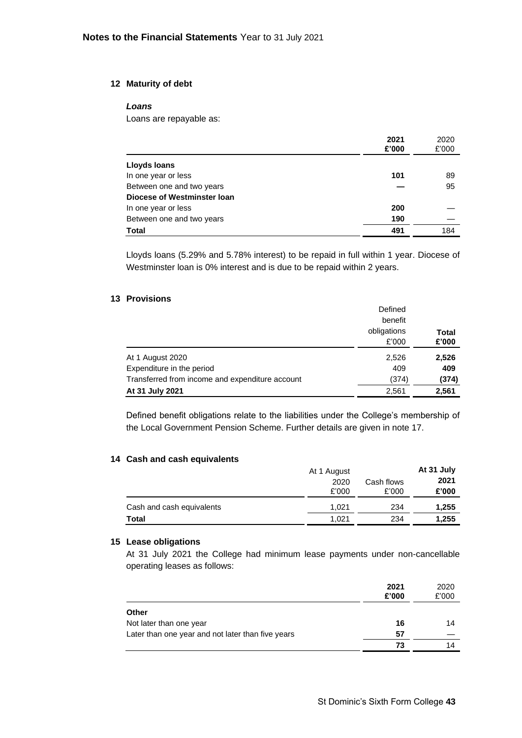### **12 Maturity of debt**

### *Loans*

Loans are repayable as:

|                             | 2021<br>£'000 | 2020<br>£'000 |
|-----------------------------|---------------|---------------|
| <b>Lloyds loans</b>         |               |               |
| In one year or less         | 101           | 89            |
| Between one and two years   |               | 95            |
| Diocese of Westminster Ioan |               |               |
| In one year or less         | 200           |               |
| Between one and two years   | 190           |               |
| <b>Total</b>                | 491           | 184           |

Lloyds loans (5.29% and 5.78% interest) to be repaid in full within 1 year. Diocese of Westminster loan is 0% interest and is due to be repaid within 2 years.

### **13 Provisions**

|                                                 | Defined<br>benefit |              |
|-------------------------------------------------|--------------------|--------------|
|                                                 | obligations        | <b>Total</b> |
|                                                 | £'000              | £'000        |
| At 1 August 2020                                | 2,526              | 2,526        |
| Expenditure in the period                       | 409                | 409          |
| Transferred from income and expenditure account | (374)              | (374)        |
| At 31 July 2021                                 | 2,561              | 2,561        |

Defined benefit obligations relate to the liabilities under the College's membership of the Local Government Pension Scheme. Further details are given in note 17.

### **14 Cash and cash equivalents**

| <b>Pasii and pasii cquivalents</b> | At 1 August<br>2020<br>£'000 | Cash flows<br>£'000 | At 31 July<br>2021<br>£'000 |
|------------------------------------|------------------------------|---------------------|-----------------------------|
| Cash and cash equivalents          | 1.021                        | 234                 | 1,255                       |
| Total                              | 1,021                        | 234                 | 1,255                       |

### **15 Lease obligations**

At 31 July 2021 the College had minimum lease payments under non-cancellable operating leases as follows:

|                                                   | 2021<br>£'000 | 2020<br>£'000 |
|---------------------------------------------------|---------------|---------------|
| <b>Other</b>                                      |               |               |
| Not later than one year                           | 16            | 14            |
| Later than one year and not later than five years | 57            |               |
|                                                   | 73            | 14            |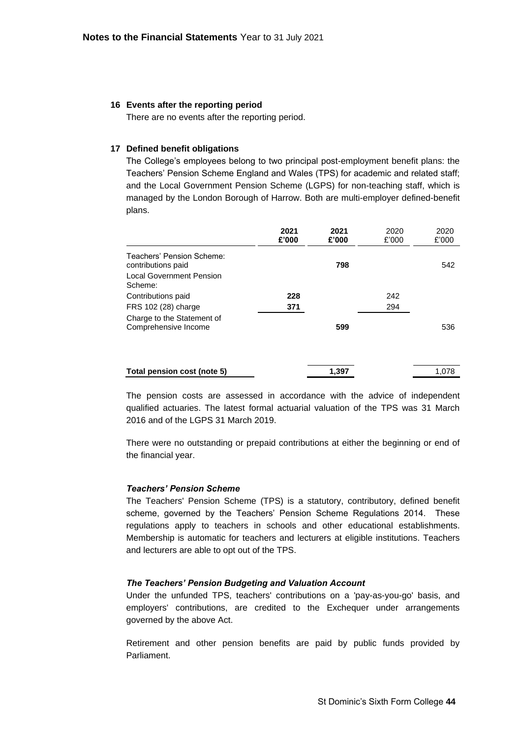### **16 Events after the reporting period**

There are no events after the reporting period.

### **17 Defined benefit obligations**

The College's employees belong to two principal post-employment benefit plans: the Teachers' Pension Scheme England and Wales (TPS) for academic and related staff; and the Local Government Pension Scheme (LGPS) for non-teaching staff, which is managed by the London Borough of Harrow. Both are multi-employer defined-benefit plans.

|                                                                                               | 2021<br>£'000 | 2021<br>£'000 | 2020<br>£'000 | 2020<br>£'000 |
|-----------------------------------------------------------------------------------------------|---------------|---------------|---------------|---------------|
| Teachers' Pension Scheme:<br>contributions paid<br><b>Local Government Pension</b><br>Scheme: |               | 798           |               | 542           |
| Contributions paid                                                                            | 228           |               | 242           |               |
| FRS 102 (28) charge                                                                           | 371           |               | 294           |               |
| Charge to the Statement of<br>Comprehensive Income                                            |               | 599           |               | 536           |
| Total pension cost (note 5)                                                                   |               | 1,397         |               | 1,078         |

The pension costs are assessed in accordance with the advice of independent qualified actuaries. The latest formal actuarial valuation of the TPS was 31 March 2016 and of the LGPS 31 March 2019.

There were no outstanding or prepaid contributions at either the beginning or end of the financial year.

### *Teachers' Pension Scheme*

The Teachers' Pension Scheme (TPS) is a statutory, contributory, defined benefit scheme, governed by the Teachers' Pension Scheme Regulations 2014. These regulations apply to teachers in schools and other educational establishments. Membership is automatic for teachers and lecturers at eligible institutions. Teachers and lecturers are able to opt out of the TPS.

### *The Teachers' Pension Budgeting and Valuation Account*

Under the unfunded TPS, teachers' contributions on a 'pay-as-you-go' basis, and employers' contributions, are credited to the Exchequer under arrangements governed by the above Act.

Retirement and other pension benefits are paid by public funds provided by Parliament.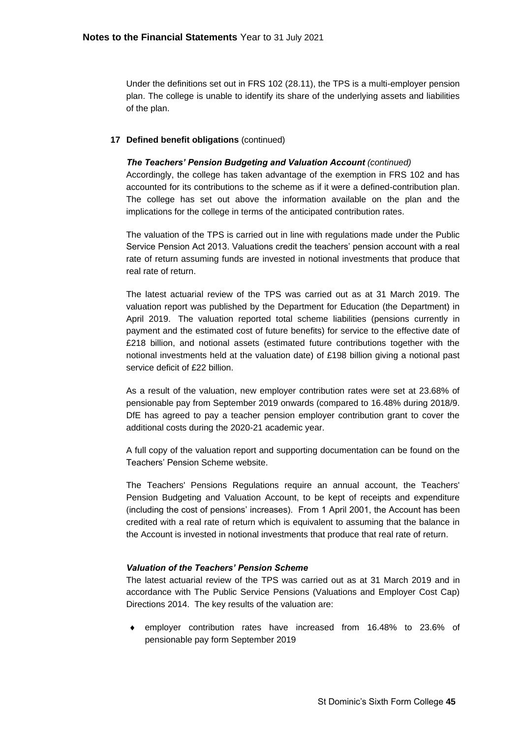Under the definitions set out in FRS 102 (28.11), the TPS is a multi-employer pension plan. The college is unable to identify its share of the underlying assets and liabilities of the plan.

### **17 Defined benefit obligations** (continued)

### *The Teachers' Pension Budgeting and Valuation Account (continued)*

Accordingly, the college has taken advantage of the exemption in FRS 102 and has accounted for its contributions to the scheme as if it were a defined-contribution plan. The college has set out above the information available on the plan and the implications for the college in terms of the anticipated contribution rates.

The valuation of the TPS is carried out in line with regulations made under the Public Service Pension Act 2013. Valuations credit the teachers' pension account with a real rate of return assuming funds are invested in notional investments that produce that real rate of return.

The latest actuarial review of the TPS was carried out as at 31 March 2019. The valuation report was published by the Department for Education (the Department) in April 2019. The valuation reported total scheme liabilities (pensions currently in payment and the estimated cost of future benefits) for service to the effective date of £218 billion, and notional assets (estimated future contributions together with the notional investments held at the valuation date) of £198 billion giving a notional past service deficit of £22 billion.

As a result of the valuation, new employer contribution rates were set at 23.68% of pensionable pay from September 2019 onwards (compared to 16.48% during 2018/9. DfE has agreed to pay a teacher pension employer contribution grant to cover the additional costs during the 2020-21 academic year.

A full copy of the valuation report and supporting documentation can be found on the Teachers' Pension Scheme website.

The Teachers' Pensions Regulations require an annual account, the Teachers' Pension Budgeting and Valuation Account, to be kept of receipts and expenditure (including the cost of pensions' increases). From 1 April 2001, the Account has been credited with a real rate of return which is equivalent to assuming that the balance in the Account is invested in notional investments that produce that real rate of return.

### *Valuation of the Teachers' Pension Scheme*

The latest actuarial review of the TPS was carried out as at 31 March 2019 and in accordance with The Public Service Pensions (Valuations and Employer Cost Cap) Directions 2014. The key results of the valuation are:

 employer contribution rates have increased from 16.48% to 23.6% of pensionable pay form September 2019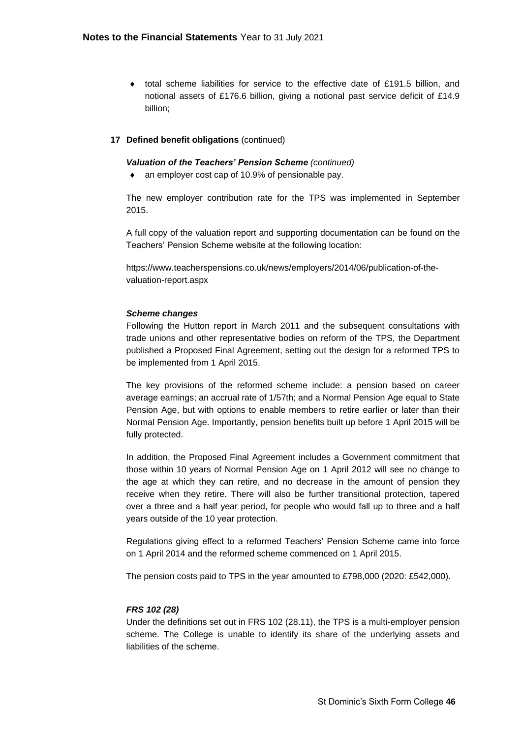$\bullet$  total scheme liabilities for service to the effective date of £191.5 billion, and notional assets of £176.6 billion, giving a notional past service deficit of £14.9 billion;

### **17 Defined benefit obligations** (continued)

### *Valuation of the Teachers' Pension Scheme (continued)*

• an employer cost cap of 10.9% of pensionable pay.

The new employer contribution rate for the TPS was implemented in September 2015.

A full copy of the valuation report and supporting documentation can be found on the Teachers' Pension Scheme website at the following location:

https://www.teacherspensions.co.uk/news/employers/2014/06/publication-of-thevaluation-report.aspx

### *Scheme changes*

Following the Hutton report in March 2011 and the subsequent consultations with trade unions and other representative bodies on reform of the TPS, the Department published a Proposed Final Agreement, setting out the design for a reformed TPS to be implemented from 1 April 2015.

The key provisions of the reformed scheme include: a pension based on career average earnings; an accrual rate of 1/57th; and a Normal Pension Age equal to State Pension Age, but with options to enable members to retire earlier or later than their Normal Pension Age. Importantly, pension benefits built up before 1 April 2015 will be fully protected.

In addition, the Proposed Final Agreement includes a Government commitment that those within 10 years of Normal Pension Age on 1 April 2012 will see no change to the age at which they can retire, and no decrease in the amount of pension they receive when they retire. There will also be further transitional protection, tapered over a three and a half year period, for people who would fall up to three and a half years outside of the 10 year protection.

Regulations giving effect to a reformed Teachers' Pension Scheme came into force on 1 April 2014 and the reformed scheme commenced on 1 April 2015.

The pension costs paid to TPS in the year amounted to £798,000 (2020: £542,000).

### *FRS 102 (28)*

Under the definitions set out in FRS 102 (28.11), the TPS is a multi-employer pension scheme. The College is unable to identify its share of the underlying assets and liabilities of the scheme.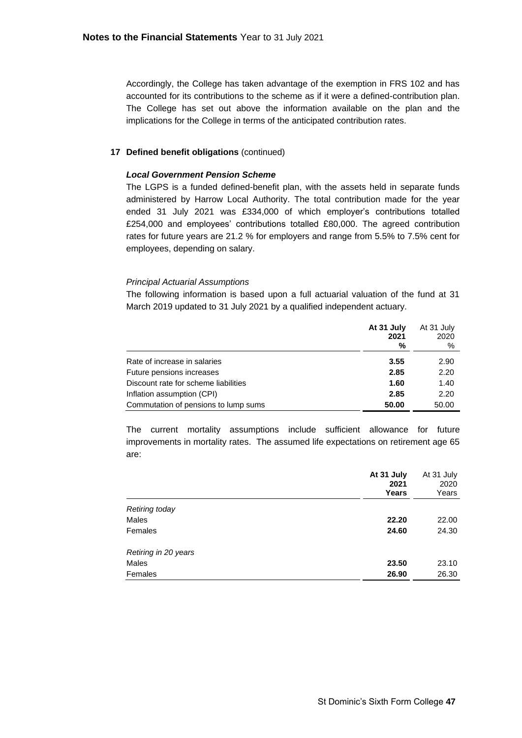Accordingly, the College has taken advantage of the exemption in FRS 102 and has accounted for its contributions to the scheme as if it were a defined-contribution plan. The College has set out above the information available on the plan and the implications for the College in terms of the anticipated contribution rates.

### **17 Defined benefit obligations** (continued)

### *Local Government Pension Scheme*

The LGPS is a funded defined-benefit plan, with the assets held in separate funds administered by Harrow Local Authority. The total contribution made for the year ended 31 July 2021 was £334,000 of which employer's contributions totalled £254,000 and employees' contributions totalled £80,000. The agreed contribution rates for future years are 21.2 % for employers and range from 5.5% to 7.5% cent for employees, depending on salary.

### *Principal Actuarial Assumptions*

The following information is based upon a full actuarial valuation of the fund at 31 March 2019 updated to 31 July 2021 by a qualified independent actuary.

|                                      | At 31 July<br>2021<br>% | At 31 July<br>2020<br>% |
|--------------------------------------|-------------------------|-------------------------|
| Rate of increase in salaries         | 3.55                    | 2.90                    |
| Future pensions increases            | 2.85                    | 2.20                    |
| Discount rate for scheme liabilities | 1.60                    | 1.40                    |
| Inflation assumption (CPI)           | 2.85                    | 2.20                    |
| Commutation of pensions to lump sums | 50.00                   | 50.00                   |

The current mortality assumptions include sufficient allowance for future improvements in mortality rates. The assumed life expectations on retirement age 65 are:

|                      | At 31 July<br>2021<br>Years | At 31 July<br>2020<br>Years |
|----------------------|-----------------------------|-----------------------------|
| Retiring today       |                             |                             |
| Males                | 22.20                       | 22.00                       |
| Females              | 24.60                       | 24.30                       |
| Retiring in 20 years |                             |                             |
| Males                | 23.50                       | 23.10                       |
| Females              | 26.90                       | 26.30                       |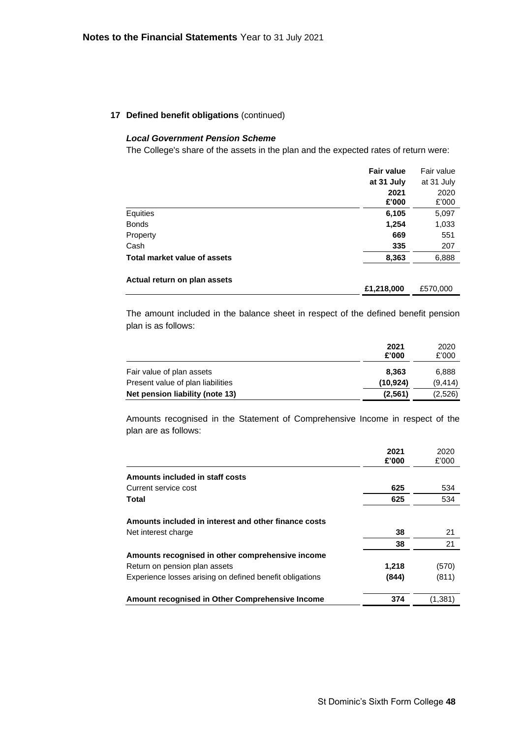### **17 Defined benefit obligations** (continued)

### *Local Government Pension Scheme*

The College's share of the assets in the plan and the expected rates of return were:

|                              | <b>Fair value</b> | Fair value    |
|------------------------------|-------------------|---------------|
|                              | at 31 July        | at 31 July    |
|                              | 2021<br>£'000     | 2020<br>£'000 |
| Equities                     | 6,105             | 5,097         |
| <b>Bonds</b>                 | 1,254             | 1,033         |
| Property                     | 669               | 551           |
| Cash                         | 335               | 207           |
| Total market value of assets | 8,363             | 6,888         |
| Actual return on plan assets |                   |               |
|                              | £1,218,000        | £570,000      |

The amount included in the balance sheet in respect of the defined benefit pension plan is as follows:

|                                   | 2021<br>£'000 | 2020<br>£'000 |
|-----------------------------------|---------------|---------------|
| Fair value of plan assets         | 8.363         | 6,888         |
| Present value of plan liabilities | (10.924)      | (9, 414)      |
| Net pension liability (note 13)   | (2,561)       | (2,526)       |

Amounts recognised in the Statement of Comprehensive Income in respect of the plan are as follows:

|                                                          | 2021<br>£'000 | 2020<br>£'000 |
|----------------------------------------------------------|---------------|---------------|
| Amounts included in staff costs                          |               |               |
| Current service cost                                     | 625           | 534           |
| Total                                                    | 625           | 534           |
| Amounts included in interest and other finance costs     |               |               |
| Net interest charge                                      | 38            | 21            |
|                                                          | 38            | 21            |
| Amounts recognised in other comprehensive income         |               |               |
| Return on pension plan assets                            | 1,218         | (570)         |
| Experience losses arising on defined benefit obligations | (844)         | (811)         |
| Amount recognised in Other Comprehensive Income          | 374           | (1,381)       |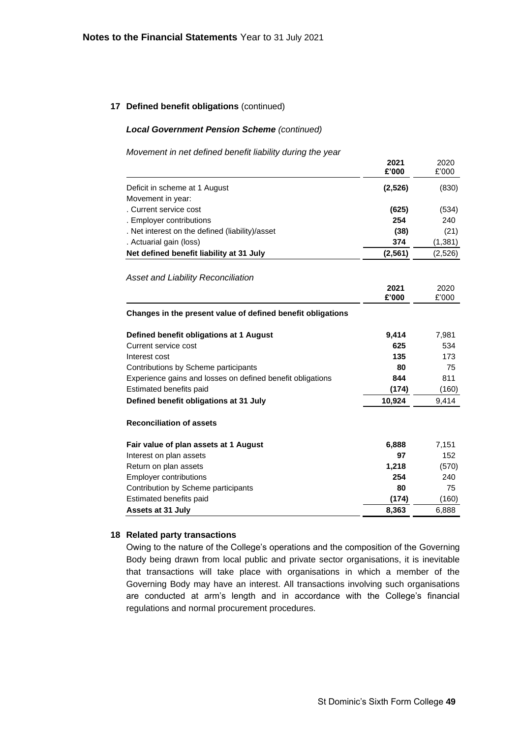### **17 Defined benefit obligations** (continued)

#### *Local Government Pension Scheme (continued)*

#### *Movement in net defined benefit liability during the year*

|                                                             | 2021<br>£'000 | 2020<br>£'000 |
|-------------------------------------------------------------|---------------|---------------|
| Deficit in scheme at 1 August                               | (2,526)       | (830)         |
| Movement in year:                                           |               |               |
| . Current service cost                                      | (625)         | (534)         |
| . Employer contributions                                    | 254           | 240           |
| . Net interest on the defined (liability)/asset             | (38)          | (21)          |
| . Actuarial gain (loss)                                     | 374           | (1, 381)      |
| Net defined benefit liability at 31 July                    | (2, 561)      | (2,526)       |
| <b>Asset and Liability Reconciliation</b>                   |               |               |
|                                                             | 2021          | 2020          |
|                                                             | £'000         | £'000         |
| Changes in the present value of defined benefit obligations |               |               |
| Defined benefit obligations at 1 August                     | 9,414         | 7,981         |
| Current service cost                                        | 625           | 534           |
| Interest cost                                               | 135           | 173           |
| Contributions by Scheme participants                        | 80            | 75            |
| Experience gains and losses on defined benefit obligations  | 844           | 811           |
| Estimated benefits paid                                     | (174)         | (160)         |
| Defined benefit obligations at 31 July                      | 10,924        | 9,414         |
| <b>Reconciliation of assets</b>                             |               |               |
| Fair value of plan assets at 1 August                       | 6,888         | 7,151         |
| Interest on plan assets                                     | 97            | 152           |
| Return on plan assets                                       | 1,218         | (570)         |
| <b>Employer contributions</b>                               | 254           | 240           |
| Contribution by Scheme participants                         | 80            | 75            |
| Estimated benefits paid                                     | (174)         | (160)         |
| <b>Assets at 31 July</b>                                    | 8,363         | 6,888         |

### **18 Related party transactions**

Owing to the nature of the College's operations and the composition of the Governing Body being drawn from local public and private sector organisations, it is inevitable that transactions will take place with organisations in which a member of the Governing Body may have an interest. All transactions involving such organisations are conducted at arm's length and in accordance with the College's financial regulations and normal procurement procedures.